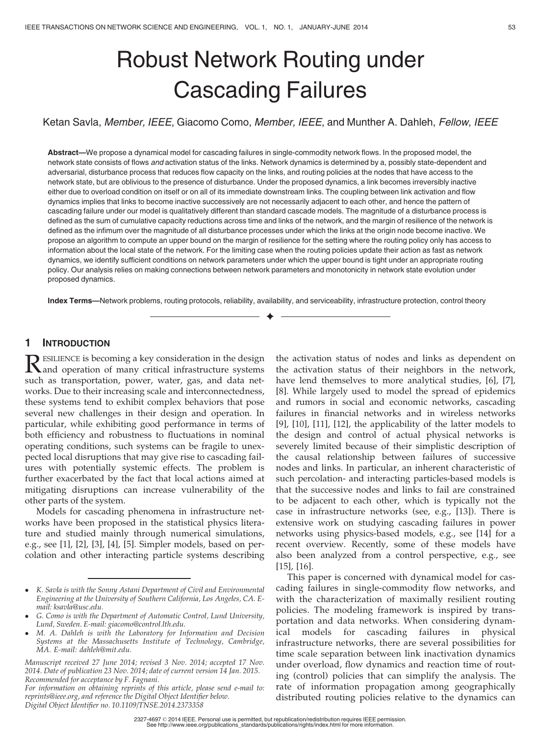# Robust Network Routing under Cascading Failures

Ketan Savla, Member, IEEE, Giacomo Como, Member, IEEE, and Munther A. Dahleh, Fellow, IEEE

Abstract—We propose a dynamical model for cascading failures in single-commodity network flows. In the proposed model, the network state consists of flows and activation status of the links. Network dynamics is determined by a, possibly state-dependent and adversarial, disturbance process that reduces flow capacity on the links, and routing policies at the nodes that have access to the network state, but are oblivious to the presence of disturbance. Under the proposed dynamics, a link becomes irreversibly inactive either due to overload condition on itself or on all of its immediate downstream links. The coupling between link activation and flow dynamics implies that links to become inactive successively are not necessarily adjacent to each other, and hence the pattern of cascading failure under our model is qualitatively different than standard cascade models. The magnitude of a disturbance process is defined as the sum of cumulative capacity reductions across time and links of the network, and the margin of resilience of the network is defined as the infimum over the magnitude of all disturbance processes under which the links at the origin node become inactive. We propose an algorithm to compute an upper bound on the margin of resilience for the setting where the routing policy only has access to information about the local state of the network. For the limiting case when the routing policies update their action as fast as network dynamics, we identify sufficient conditions on network parameters under which the upper bound is tight under an appropriate routing policy. Our analysis relies on making connections between network parameters and monotonicity in network state evolution under proposed dynamics.

Index Terms—Network problems, routing protocols, reliability, availability, and serviceability, infrastructure protection, control theory  $\bigstar$ 

# 1 INTRODUCTION

RESILIENCE is becoming a key consideration in the design<br>and operation of many critical infrastructure systems<br>and acts were systems and as a set of detailed such as transportation, power, water, gas, and data networks. Due to their increasing scale and interconnectedness, these systems tend to exhibit complex behaviors that pose several new challenges in their design and operation. In particular, while exhibiting good performance in terms of both efficiency and robustness to fluctuations in nominal operating conditions, such systems can be fragile to unexpected local disruptions that may give rise to cascading failures with potentially systemic effects. The problem is further exacerbated by the fact that local actions aimed at mitigating disruptions can increase vulnerability of the other parts of the system.

Models for cascading phenomena in infrastructure networks have been proposed in the statistical physics literature and studied mainly through numerical simulations, e.g., see [1], [2], [3], [4], [5]. Simpler models, based on percolation and other interacting particle systems describing

the activation status of nodes and links as dependent on the activation status of their neighbors in the network, have lend themselves to more analytical studies, [6], [7], [8]. While largely used to model the spread of epidemics and rumors in social and economic networks, cascading failures in financial networks and in wireless networks [9], [10], [11], [12], the applicability of the latter models to the design and control of actual physical networks is severely limited because of their simplistic description of the causal relationship between failures of successive nodes and links. In particular, an inherent characteristic of such percolation- and interacting particles-based models is that the successive nodes and links to fail are constrained to be adjacent to each other, which is typically not the case in infrastructure networks (see, e.g., [13]). There is extensive work on studying cascading failures in power networks using physics-based models, e.g., see [14] for a recent overview. Recently, some of these models have also been analyzed from a control perspective, e.g., see [15], [16].

This paper is concerned with dynamical model for cascading failures in single-commodity flow networks, and with the characterization of maximally resilient routing policies. The modeling framework is inspired by transportation and data networks. When considering dynamical models for cascading failures in physical infrastructure networks, there are several possibilities for time scale separation between link inactivation dynamics under overload, flow dynamics and reaction time of routing (control) policies that can simplify the analysis. The rate of information propagation among geographically distributed routing policies relative to the dynamics can

K. Savla is with the Sonny Astani Department of Civil and Environmental Engineering at the University of Southern California, Los Angeles, CA. Email: ksavla@usc.edu.

G. Como is with the Department of Automatic Control, Lund University, Lund, Sweden. E-mail: giacomo@control.lth.edu.

M. A. Dahleh is with the Laboratory for Information and Decision Systems at the Massachusetts Institute of Technology, Cambridge, MA. E-mail: dahleh@mit.edu.

Manuscript received 27 June 2014; revised 3 Nov. 2014; accepted 17 Nov. 2014. Date of publication 23 Nov. 2014; date of current version 14 Jan. 2015. Recommended for acceptance by F. Fagnani.

For information on obtaining reprints of this article, please send e-mail to: reprints@ieee.org, and reference the Digital Object Identifier below. Digital Object Identifier no. 10.1109/TNSE.2014.2373358

<sup>2327-4697</sup> 2014 IEEE. Personal use is permitted, but republication/redistribution requires IEEE permission. See http://www.ieee.org/publications\_standards/publications/rights/index.html for more information.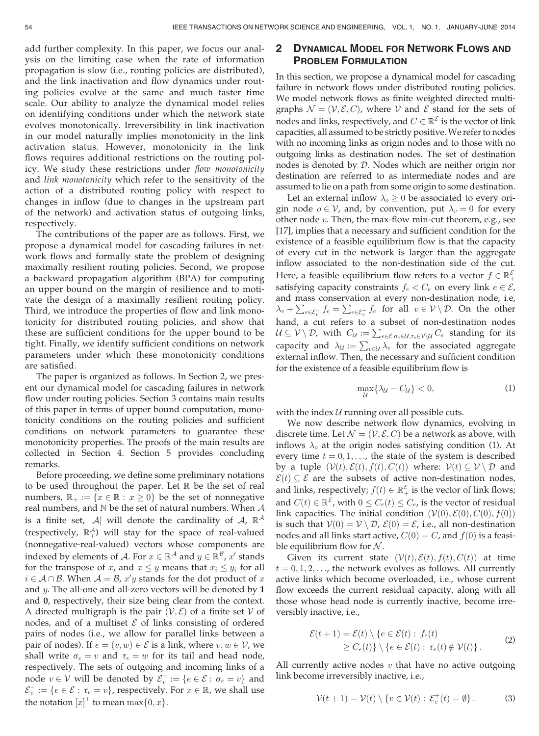add further complexity. In this paper, we focus our analysis on the limiting case when the rate of information propagation is slow (i.e., routing policies are distributed), and the link inactivation and flow dynamics under routing policies evolve at the same and much faster time scale. Our ability to analyze the dynamical model relies on identifying conditions under which the network state evolves monotonically. Irreversibility in link inactivation in our model naturally implies monotonicity in the link activation status. However, monotonicity in the link flows requires additional restrictions on the routing policy. We study these restrictions under flow monotonicity and link monotonicity which refer to the sensitivity of the action of a distributed routing policy with respect to changes in inflow (due to changes in the upstream part of the network) and activation status of outgoing links, respectively.

The contributions of the paper are as follows. First, we propose a dynamical model for cascading failures in network flows and formally state the problem of designing maximally resilient routing policies. Second, we propose a backward propagation algorithm (BPA) for computing an upper bound on the margin of resilience and to motivate the design of a maximally resilient routing policy. Third, we introduce the properties of flow and link monotonicity for distributed routing policies, and show that these are sufficient conditions for the upper bound to be tight. Finally, we identify sufficient conditions on network parameters under which these monotonicity conditions are satisfied.

The paper is organized as follows. In Section 2, we present our dynamical model for cascading failures in network flow under routing policies. Section 3 contains main results of this paper in terms of upper bound computation, monotonicity conditions on the routing policies and sufficient conditions on network parameters to guarantee these monotonicity properties. The proofs of the main results are collected in Section 4. Section 5 provides concluding remarks.

Before proceeding, we define some preliminary notations to be used throughout the paper. Let  $\mathbb R$  be the set of real numbers,  $\mathbb{R}_+ := \{x \in \mathbb{R} : x \geq 0\}$  be the set of nonnegative real numbers, and  $N$  be the set of natural numbers. When  $A$ is a finite set, |A| will denote the cardinality of A,  $\mathbb{R}^{\mathcal{A}}$ (respectively,  $\mathbb{R}^{A}_{+}$ ) will stay for the space of real-valued<br>(poppositive real valued) vectors whose components are (nonnegative-real-valued) vectors whose components are indexed by elements of A. For  $x \in \mathbb{R}^{\mathcal{A}}$  and  $y \in \mathbb{R}^{\mathcal{B}}$ , x' stands for the transpose of x, and  $x \leq y$  means that  $x_i \leq y_i$  for all  $i \in A \cap B$ . When  $A = B$ , x'y stands for the dot product of x<br>and y. The all-one and all-zero vectors will be denoted by 1 and y. The all-one and all-zero vectors will be denoted by 1 and 0, respectively, their size being clear from the context. A directed multigraph is the pair  $(V, E)$  of a finite set V of nodes, and of a multiset  $\mathcal E$  of links consisting of ordered pairs of nodes (i.e., we allow for parallel links between a pair of nodes). If  $e = (v, w) \in \mathcal{E}$  is a link, where  $v, w \in \mathcal{V}$ , we shall write  $\sigma_e = v$  and  $\tau_e = w$  for its tail and head node, respectively. The sets of outgoing and incoming links of a node  $v \in V$  will be denoted by  $\mathcal{E}_v^+ := \{e \in \mathcal{E} : \sigma_e = v\}$  and  $\mathcal{E}_v^+ := \{e \in \mathcal{E} : \tau_e = w\}$  respectively. For  $x \in \mathbb{R}$ , we shall use  $\mathcal{E}_v^- := \{e \in \mathcal{E} : \tau_e = v\}$ , respectively. For  $x \in \mathbb{R}$ , we shall use the notation  $[x]^+$  to mean  $\max\{0, x\}.$ 

# 2 DYNAMICAL MODEL FOR NETWORK FLOWS AND PROBLEM FORMULATION

In this section, we propose a dynamical model for cascading failure in network flows under distributed routing policies. We model network flows as finite weighted directed multigraphs  $\mathcal{N} = (\mathcal{V}, \mathcal{E}, C)$ , where V and E stand for the sets of nodes and links, respectively, and  $C \in \mathbb{R}^{\mathcal{E}}$  is the vector of link capacities, all assumed to be strictly positive. We refer to nodes with no incoming links as origin nodes and to those with no outgoing links as destination nodes. The set of destination nodes is denoted by D. Nodes which are neither origin nor destination are referred to as intermediate nodes and are assumed to lie on a path from some origin to some destination.

Let an external inflow  $\lambda_o \geq 0$  be associated to every ori-<br>u node  $o \in \mathcal{V}$  and by convention put  $\lambda_i = 0$  for every gin node  $o \in \mathcal{V}$ , and, by convention, put  $\lambda_v = 0$  for every<br>other node v. Then, the max-flow min-cut theorem e.g. see other node v. Then, the max-flow min-cut theorem, e.g., see [17], implies that a necessary and sufficient condition for the existence of a feasible equilibrium flow is that the capacity of every cut in the network is larger than the aggregate inflow associated to the non-destination side of the cut. Here, a feasible equilibrium flow refers to a vector  $f \in \mathbb{R}^{\mathcal{E}}_{+}$ satisfying capacity constraints  $f_e < C_e$  on every link  $e \in \mathcal{E}$ , and mass conservation at every non-destination node i.e. and mass conservation at every non-destination node, i.e,  $\lambda_v + \sum_{e \in \mathcal{E}_v^+} f_e = \sum_{e \in \mathcal{E}_v^+} f_e$  for all  $v \in \mathcal{V} \setminus \mathcal{D}$ . On the other hand, a cut refers to a subset of non-destination nodes  $\mathcal{U} \subseteq \mathcal{V} \setminus \mathcal{D}$ , with  $C_{\mathcal{U}} := \sum_{e \in \mathcal{E}: \sigma_e \in \mathcal{U}, \tau_e \in \mathcal{V} \setminus \mathcal{U}} C_e$  standing for its capacity and  $\lambda_{\mathcal{U}} := \sum_{v \in \mathcal{U}} \lambda_v$  for the associated aggregate<br>external inflow Then the necessary and sufficient condition external inflow. Then, the necessary and sufficient condition for the existence of a feasible equilibrium flow is

$$
\max_{\mathcal{U}} \{ \lambda_{\mathcal{U}} - C_{\mathcal{U}} \} < 0,\tag{1}
$$

with the index  $U$  running over all possible cuts.

We now describe network flow dynamics, evolving in discrete time. Let  $\mathcal{N} = (\mathcal{V}, \mathcal{E}, C)$  be a network as above, with inflows  $\lambda_o$  at the origin nodes satisfying condition (1). At every time  $t = 0, 1, \ldots$ , the state of the system is described by a tuple  $(\mathcal{V}(t), \mathcal{E}(t), f(t), C(t))$  where:  $\mathcal{V}(t) \subseteq \mathcal{V} \setminus \mathcal{D}$  and  $\mathcal{E}(t) \subseteq \mathcal{E}$  are the subsets of active non-destination nodes, and links, respectively;  $f(t) \in \mathbb{R}_+^2$  is the vector of link flows;<br>and  $G(t) \in \mathbb{R}_+^2$  with  $0 \le G(t) \le G$  is the vector of residual and  $C(t) \in \mathbb{R}^{\mathcal{E}}$ , with  $0 \leq C_e(t) \leq C_e$ , is the vector of residual link capacities. The initial condition  $(V(0), \mathcal{E}(0), C(0), f(0))$ is such that  $V(0) = V \setminus \mathcal{D}$ ,  $\mathcal{E}(0) = \mathcal{E}$ , i.e., all non-destination nodes and all links start active,  $C(0) = C$ , and  $f(0)$  is a feasible equilibrium flow for  $N$ .

Given its current state  $(V(t), E(t), f(t), C(t))$  at time  $t = 0, 1, 2, \ldots$ , the network evolves as follows. All currently active links which become overloaded, i.e., whose current flow exceeds the current residual capacity, along with all those whose head node is currently inactive, become irreversibly inactive, i.e.,

$$
\mathcal{E}(t+1) = \mathcal{E}(t) \setminus \{e \in \mathcal{E}(t) : f_e(t) \ge C_e(t)\} \setminus \{e \in \mathcal{E}(t) : \tau_e(t) \notin \mathcal{V}(t)\}.
$$
\n(2)

All currently active nodes  $v$  that have no active outgoing link become irreversibly inactive, i.e.,

$$
\mathcal{V}(t+1) = \mathcal{V}(t) \setminus \{v \in \mathcal{V}(t) : \mathcal{E}_v^+(t) = \emptyset\}.
$$
 (3)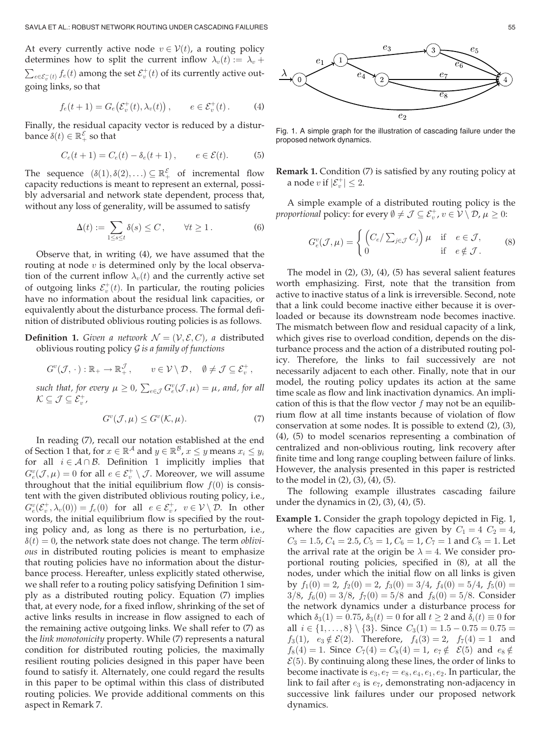At every currently active node  $v \in V(t)$ , a routing policy determines how to split the current inflow  $\lambda_v(t) := \lambda_v +$  $\sum_{e \in \mathcal{E}_v^-(t)} f_e(t)$  among the set  $\mathcal{E}_v^+(t)$  of its currently active out-<br>coinciling as that going links, so that

$$
f_e(t+1) = G_e(\mathcal{E}_v^+(t), \lambda_v(t)), \qquad e \in \mathcal{E}_v^+(t). \tag{4}
$$

Finally, the residual capacity vector is reduced by a disturbance  $\delta(t) \in \mathbb{R}_+^{\mathcal{E}}$  so that

$$
C_e(t+1) = C_e(t) - \delta_e(t+1), \qquad e \in \mathcal{E}(t). \tag{5}
$$

The sequence  $(\delta(1), \delta(2), ...) \subseteq \mathbb{R}_+^{\mathcal{E}}$  of incremental flow<br>capacity reductions is meant to represent an external possicapacity reductions is meant to represent an external, possibly adversarial and network state dependent, process that, without any loss of generality, will be assumed to satisfy

$$
\Delta(t) := \sum_{1 \le s \le t} \delta(s) \le C, \qquad \forall t \ge 1.
$$
 (6)

Observe that, in writing (4), we have assumed that the routing at node  $v$  is determined only by the local observation of the current inflow  $\lambda_v(t)$  and the currently active set<br>of outcoing links  $S^+(t)$ . In particular, the routing policies of outgoing links  $\mathcal{E}_v^+(t)$ . In particular, the routing policies<br>have no information about the residual link canacities, or have no information about the residual link capacities, or equivalently about the disturbance process. The formal definition of distributed oblivious routing policies is as follows.

**Definition 1.** Given a network  $\mathcal{N} = (\mathcal{V}, \mathcal{E}, C)$ , a distributed oblivious routing policy  $G$  is a family of functions

$$
G^v(\mathcal{J},\cdot): \mathbb{R}_+ \to \mathbb{R}_+^{\mathcal{J}}, \qquad v \in \mathcal{V} \setminus \mathcal{D}, \quad \emptyset \neq \mathcal{J} \subseteq \mathcal{E}_v^+,
$$

such that, for every  $\mu \geq 0$ ,  $\sum_{e \in \mathcal{J}} G_e^v(\mathcal{J}, \mu) = \mu$ , and, for all  $K \subset \mathcal{J} \subset \mathcal{S}^+$  $\mathcal{K} \subseteq \mathcal{J} \subseteq \mathcal{E}_v^+$ ,

$$
G^v(\mathcal{J}, \mu) \le G^v(\mathcal{K}, \mu). \tag{7}
$$

In reading (7), recall our notation established at the end of Section 1 that, for  $x \in \mathbb{R}^A$  and  $y \in \mathbb{R}^B$ ,  $x \leq y$  means  $x_i \leq y_i$ for all  $i \in A \cap B$ . Definition 1 implicitly implies that  $G_e^v(\mathcal{J}, \mu) = 0$  for all  $e \in \mathcal{E}_v^+ \setminus \mathcal{J}$ . Moreover, we will assume throughout that the initial equilibrium flow  $f(0)$  is consistent throughout that the initial equilibrium flow  $f(0)$  is consistent with the given distributed oblivious routing policy, i.e.,  $G_e^v(\mathcal{E}_v^+, \lambda_v(0)) = f_e(0)$  for all  $e \in \mathcal{E}_v^+$ ,  $v \in \mathcal{V} \setminus \mathcal{D}$ . In other words the initial equilibrium flow is specified by the routwords, the initial equilibrium flow is specified by the routing policy and, as long as there is no perturbation, i.e.,  $\delta(t) = 0$ , the network state does not change. The term *oblivi*ous in distributed routing policies is meant to emphasize that routing policies have no information about the disturbance process. Hereafter, unless explicitly stated otherwise, we shall refer to a routing policy satisfying Definition 1 simply as a distributed routing policy. Equation (7) implies that, at every node, for a fixed inflow, shrinking of the set of active links results in increase in flow assigned to each of the remaining active outgoing links. We shall refer to (7) as the link monotonicity property. While (7) represents a natural condition for distributed routing policies, the maximally resilient routing policies designed in this paper have been found to satisfy it. Alternately, one could regard the results in this paper to be optimal within this class of distributed routing policies. We provide additional comments on this aspect in Remark 7.



Fig. 1. A simple graph for the illustration of cascading failure under the proposed network dynamics.

Remark 1. Condition (7) is satisfied by any routing policy at a node  $v$  if  $|\mathcal{E}_v^+| \leq 2$ .

A simple example of a distributed routing policy is the proportional policy: for every  $\emptyset \neq \mathcal{J} \subseteq \mathcal{E}_v^+, v \in \mathcal{V} \setminus \mathcal{D}$ ,  $\mu \geq 0$ :

$$
G_e^v(\mathcal{J}, \mu) = \begin{cases} \left( C_e / \sum_{j \in \mathcal{J}} C_j \right) \mu & \text{if } e \in \mathcal{J}, \\ 0 & \text{if } e \notin \mathcal{J}. \end{cases}
$$
 (8)

The model in (2), (3), (4), (5) has several salient features worth emphasizing. First, note that the transition from active to inactive status of a link is irreversible. Second, note that a link could become inactive either because it is overloaded or because its downstream node becomes inactive. The mismatch between flow and residual capacity of a link, which gives rise to overload condition, depends on the disturbance process and the action of a distributed routing policy. Therefore, the links to fail successively are not necessarily adjacent to each other. Finally, note that in our model, the routing policy updates its action at the same time scale as flow and link inactivation dynamics. An implication of this is that the flow vector  $f$  may not be an equilibrium flow at all time instants because of violation of flow conservation at some nodes. It is possible to extend (2), (3), (4), (5) to model scenarios representing a combination of centralized and non-oblivious routing, link recovery after finite time and long range coupling between failure of links. However, the analysis presented in this paper is restricted to the model in (2), (3), (4), (5).

The following example illustrates cascading failure under the dynamics in  $(2)$ ,  $(3)$ ,  $(4)$ ,  $(5)$ .

Example 1. Consider the graph topology depicted in Fig. 1, where the flow capacities are given by  $C_1 = 4$   $C_2 = 4$ ,  $C_3 = 1.5$ ,  $C_4 = 2.5$ ,  $C_5 = 1$ ,  $C_6 = 1$ ,  $C_7 = 1$  and  $C_8 = 1$ . Let the arrival rate at the origin be  $\lambda = 4$ . We consider pro-<br>portional routing policies, specified in  $(8)$  at all the portional routing policies, specified in (8), at all the nodes, under which the initial flow on all links is given by  $f_1(0) = 2$ ,  $f_2(0) = 2$ ,  $f_3(0) = 3/4$ ,  $f_4(0) = 5/4$ ,  $f_5(0) =$  $3/8$ ,  $f_6(0) = 3/8$ ,  $f_7(0) = 5/8$  and  $f_8(0) = 5/8$ . Consider the network dynamics under a disturbance process for which  $\delta_3(1) = 0.75$ ,  $\delta_3(t) = 0$  for all  $t \geq 2$  and  $\delta_i(t) \equiv 0$  for all  $i \in \{1, ..., 8\} \setminus \{3\}$ . Since  $C_3(1) = 1.5 - 0.75 = 0.75 =$  $f_3(1)$ ,  $e_3 \notin \mathcal{E}(2)$ . Therefore,  $f_4(3) = 2$ ,  $f_7(4) = 1$  and  $f_8(4) = 1$ . Since  $C_7(4) = C_8(4) = 1$ ,  $e_7 \notin \mathcal{E}(5)$  and  $e_8 \notin \mathcal{E}(5)$  $\mathcal{E}(5)$ . By continuing along these lines, the order of links to become inactivate is  $e_3, e_7 = e_8, e_4, e_1, e_2$ . In particular, the link to fail after  $e_3$  is  $e_7$ , demonstrating non-adjacency in successive link failures under our proposed network dynamics.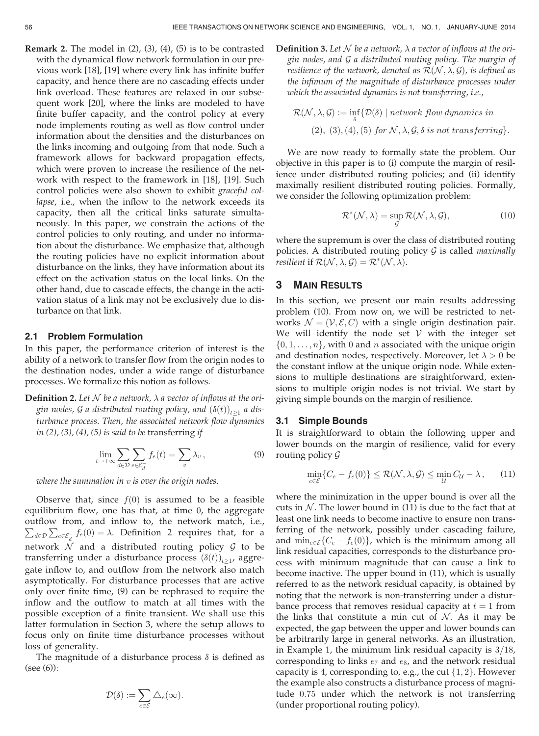Remark 2. The model in (2), (3), (4), (5) is to be contrasted with the dynamical flow network formulation in our previous work [18], [19] where every link has infinite buffer capacity, and hence there are no cascading effects under link overload. These features are relaxed in our subsequent work [20], where the links are modeled to have finite buffer capacity, and the control policy at every node implements routing as well as flow control under information about the densities and the disturbances on the links incoming and outgoing from that node. Such a framework allows for backward propagation effects, which were proven to increase the resilience of the network with respect to the framework in [18], [19]. Such control policies were also shown to exhibit graceful collapse, i.e., when the inflow to the network exceeds its capacity, then all the critical links saturate simultaneously. In this paper, we constrain the actions of the control policies to only routing, and under no information about the disturbance. We emphasize that, although the routing policies have no explicit information about disturbance on the links, they have information about its effect on the activation status on the local links. On the other hand, due to cascade effects, the change in the activation status of a link may not be exclusively due to disturbance on that link.

## 2.1 Problem Formulation

In this paper, the performance criterion of interest is the ability of a network to transfer flow from the origin nodes to the destination nodes, under a wide range of disturbance processes. We formalize this notion as follows.

**Definition 2.** Let N be a network,  $\lambda$  a vector of inflows at the ori-<br>
oin nodes, G a distributed routing policy, and  $(\lambda(t)) = a$  disgin nodes, G a distributed routing policy, and  $(\delta(t))_{t>1}$  a disturbance process. Then, the associated network flow dynamics in  $(2)$ ,  $(3)$ ,  $(4)$ ,  $(5)$  is said to be transferring if

$$
\lim_{t \to +\infty} \sum_{d \in \mathcal{D}} \sum_{e \in \mathcal{E}_d^-} f_e(t) = \sum_v \lambda_v,
$$
\n(9)

where the summation in  $v$  is over the origin nodes.

Observe that, since  $f(0)$  is assumed to be a feasible equilibrium flow, one has that, at time 0, the aggregate outflow from, and inflow to, the network match, i.e.,  $\sum_{d \in \mathcal{D}} \sum_{e \in \mathcal{E}_d^-} f_e(0) = \lambda$ . Definition 2 requires that, for a network  $\mathcal N$  and a distributed routing policy  $\mathcal G$  to be transferring under a disturbance process  $(\delta(t))_{t\geq 1}$ , aggregate inflow to, and outflow from the network also match asymptotically. For disturbance processes that are active only over finite time, (9) can be rephrased to require the inflow and the outflow to match at all times with the possible exception of a finite transient. We shall use this latter formulation in Section 3, where the setup allows to focus only on finite time disturbance processes without loss of generality.

The magnitude of a disturbance process  $\delta$  is defined as (see (6)):

$$
\mathcal{D}(\delta) := \sum_{e \in \mathcal{E}} \triangle_e(\infty).
$$

- **Definition 3.** Let N be a network,  $\lambda$  a vector of inflows at the ori-<br>oin nodes, and G a distributed routino policy. The maroin of gin nodes, and G a distributed routing policy. The margin of resilience of the network, denoted as  $\mathcal{R}(\mathcal{N}, \lambda, \mathcal{G})$ , is defined as<br>the infimum of the maonitude of disturbance processes under the infimum of the magnitude of disturbance processes under which the associated dynamics is not transferring, i.e.,
	- $\mathcal{R}(\mathcal{N}, \lambda, \mathcal{G}) := \inf_{\delta} \{ \mathcal{D}(\delta) \mid network \ flow \ dynamics \ in$ (2), (3), (4), (5) for  $\mathcal{N}, \lambda, \mathcal{G}, \delta$  is not transferring.

We are now ready to formally state the problem. Our objective in this paper is to (i) compute the margin of resilience under distributed routing policies; and (ii) identify maximally resilient distributed routing policies. Formally, we consider the following optimization problem:

$$
\mathcal{R}^*(\mathcal{N}, \lambda) = \sup_{\mathcal{G}} \mathcal{R}(\mathcal{N}, \lambda, \mathcal{G}), \tag{10}
$$

where the supremum is over the class of distributed routing policies. A distributed routing policy  $G$  is called *maximally resilient* if  $\mathcal{R}(\mathcal{N}, \lambda, \mathcal{G}) = \mathcal{R}^*(\mathcal{N}, \lambda)$ .

## 3 MAIN RESULTS

In this section, we present our main results addressing problem (10). From now on, we will be restricted to networks  $\mathcal{N} = (\mathcal{V}, \mathcal{E}, C)$  with a single origin destination pair. We will identify the node set  $V$  with the integer set  $\{0, 1, \ldots, n\}$ , with 0 and *n* associated with the unique origin and destination nodes, respectively. Moreover, let  $\lambda > 0$  be the constant inflow at the unique origin node. While extensions to multiple destinations are straightforward, extensions to multiple origin nodes is not trivial. We start by giving simple bounds on the margin of resilience.

## 3.1 Simple Bounds

It is straightforward to obtain the following upper and lower bounds on the margin of resilience, valid for every routing policy G

$$
\min_{e \in \mathcal{E}} \{ C_e - f_e(0) \} \le \mathcal{R}(\mathcal{N}, \lambda, \mathcal{G}) \le \min_{\mathcal{U}} C_{\mathcal{U}} - \lambda, \qquad (11)
$$

where the minimization in the upper bound is over all the cuts in  $N$ . The lower bound in (11) is due to the fact that at least one link needs to become inactive to ensure non transferring of the network, possibly under cascading failure, and  $\min_{e \in \mathcal{E}} \{C_e - f_e(0)\}\$ , which is the minimum among all link residual capacities, corresponds to the disturbance process with minimum magnitude that can cause a link to become inactive. The upper bound in (11), which is usually referred to as the network residual capacity, is obtained by noting that the network is non-transferring under a disturbance process that removes residual capacity at  $t = 1$  from the links that constitute a min cut of  $N$ . As it may be expected, the gap between the upper and lower bounds can be arbitrarily large in general networks. As an illustration, in Example 1, the minimum link residual capacity is  $3/18$ , corresponding to links  $e_7$  and  $e_8$ , and the network residual capacity is 4, corresponding to, e.g., the cut  $\{1, 2\}$ . However the example also constructs a disturbance process of magnitude 0:75 under which the network is not transferring (under proportional routing policy).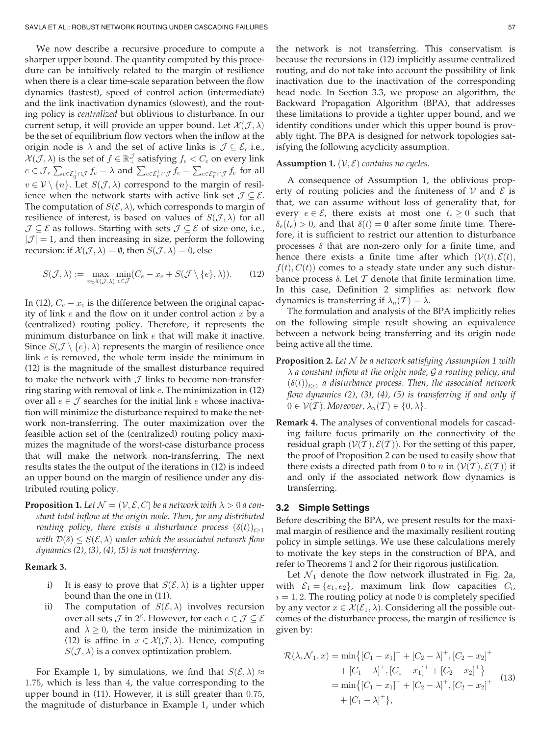We now describe a recursive procedure to compute a sharper upper bound. The quantity computed by this procedure can be intuitively related to the margin of resilience when there is a clear time-scale separation between the flow dynamics (fastest), speed of control action (intermediate) and the link inactivation dynamics (slowest), and the routing policy is centralized but oblivious to disturbance. In our current setup, it will provide an upper bound. Let  $\mathcal{X}(\mathcal{J},\lambda)$ Þ be the set of equilibrium flow vectors when the inflow at the origin node is  $\lambda$  and the set of active links is  $\mathcal{J} \subseteq \mathcal{E}$ , i.e.,<br> $\mathcal{V}(\mathcal{J})$  is the set of  $f \in \mathbb{R}^{\mathcal{J}}$  satisfying  $f \leq C$  on every link  $\mathcal{X}(\mathcal{J},\lambda)$  is the set of  $f \in \mathbb{R}^{\mathcal{J}}_+$  satisfying  $f_e < C_e$  on every link<br> $e \in \mathcal{J} \sum f_e = \lambda$  and  $\sum f_e = \sum f_e$  for all  $e \in \mathcal{J}$ ,  $\sum_{e \in \mathcal{E}_v^+ \cap \mathcal{J}} f_e = \lambda$  and  $\sum_{e \in \mathcal{E}_v^+ \cap \mathcal{J}} f_e = \sum_{e \in \mathcal{E}_v^- \cap \mathcal{J}} f_e$  for all  $v \in V \setminus \{n\}$ . Let  $S(\mathcal{J}, \lambda)$  correspond to the margin of resil-<br>ience when the network starts with active link set  $\mathcal{J} \subset \mathcal{S}$ ience when the network starts with active link set  $\mathcal{J} \subseteq \mathcal{E}$ . The computation of  $S(\mathcal{E}, \lambda)$ , which corresponds to margin of resilience of interest is based on values of  $S(\mathcal{T}, \lambda)$  for all resilience of interest, is based on values of  $S(\mathcal{J},\lambda)$  for all  $\mathcal{J} \subset \mathcal{E}$  as follows. Starting with sets  $\mathcal{J} \subset \mathcal{E}$  of size one i.e.  $\mathcal{J} \subseteq \mathcal{E}$  as follows. Starting with sets  $\mathcal{J} \subseteq \mathcal{E}$  of size one, i.e.,  $|\mathcal{J}| = 1$ , and then increasing in size, perform the following recursion: if  $\mathcal{X}(\mathcal{J}, \lambda) = \emptyset$ , then  $S(\mathcal{J}, \lambda) = 0$ , else

$$
S(\mathcal{J}, \lambda) := \max_{x \in \mathcal{X}(\mathcal{J}, \lambda)} \min_{e \in \mathcal{J}} (C_e - x_e + S(\mathcal{J} \setminus \{e\}, \lambda)). \tag{12}
$$

In (12),  $C_e - x_e$  is the difference between the original capacity of link  $e$  and the flow on it under control action  $x$  by a (centralized) routing policy. Therefore, it represents the minimum disturbance on link e that will make it inactive. Since  $S(\mathcal{J}\setminus\{e\},\lambda)$  represents the margin of resilience once<br>link e is removed, the whole term inside the minimum in link e is removed, the whole term inside the minimum in (12) is the magnitude of the smallest disturbance required to make the network with  $\mathcal J$  links to become non-transferring staring with removal of link e. The minimization in (12) over all  $e \in \mathcal{J}$  searches for the initial link e whose inactivation will minimize the disturbance required to make the network non-transferring. The outer maximization over the feasible action set of the (centralized) routing policy maximizes the magnitude of the worst-case disturbance process that will make the network non-transferring. The next results states the the output of the iterations in (12) is indeed an upper bound on the margin of resilience under any distributed routing policy.

**Proposition 1.** Let  $\mathcal{N} = (\mathcal{V}, \mathcal{E}, C)$  be a network with  $\lambda > 0$  a con-<br>stant total inflow at the origin node. Then, for any distributed stant total inflow at the origin node. Then, for any distributed routing policy, there exists a disturbance process  $(\delta(t))_{t\geq 1}$ with  $\mathcal{D}(\delta) \leq S(\mathcal{E}, \lambda)$  under which the associated network flow<br>dynamics (2) (3) (4) (5) is not transferring dynamics  $(2)$ ,  $(3)$ ,  $(4)$ ,  $(5)$  is not transferring.

#### Remark 3.

- i) It is easy to prove that  $S(\mathcal{E}, \lambda)$  is a tighter upper<br>bound than the one in (11) bound than the one in (11).
- ii) The computation of  $S(\mathcal{E}, \lambda)$  involves recursion<br>over all sets  $\mathcal{I}$  in  $2^{\mathcal{E}}$ . However, for each  $\mathcal{E} \in \mathcal{I} \subseteq \mathcal{E}$ over all sets  $\mathcal{J}$  in  $2^{\mathcal{E}}$ . However, for each  $e \in \mathcal{J} \subseteq \mathcal{E}$ and  $\lambda \geq 0$ , the term inside the minimization in  $r \in \mathcal{X}(\mathcal{T})$ . Hence, commuting (12) is affine in  $x \in \mathcal{X}(\mathcal{J}, \lambda)$ . Hence, computing  $S(\mathcal{J}, \lambda)$  is a convex optimization problem  $S(\mathcal{J},\lambda)$  is a convex optimization problem.

For Example 1, by simulations, we find that  $S(\mathcal{E}, \lambda) \approx$ 1.75, which is less than 4, the value corresponding to the upper bound in (11). However, it is still greater than 0:75, the magnitude of disturbance in Example 1, under which

the network is not transferring. This conservatism is because the recursions in (12) implicitly assume centralized routing, and do not take into account the possibility of link inactivation due to the inactivation of the corresponding head node. In Section 3.3, we propose an algorithm, the Backward Propagation Algorithm (BPA), that addresses these limitations to provide a tighter upper bound, and we identify conditions under which this upper bound is provably tight. The BPA is designed for network topologies satisfying the following acyclicity assumption.

#### **Assumption 1.**  $(\mathcal{V}, \mathcal{E})$  contains no cycles.

A consequence of Assumption 1, the oblivious property of routing policies and the finiteness of  $V$  and  $\mathcal E$  is that, we can assume without loss of generality that, for every  $e \in \mathcal{E}$ , there exists at most one  $t_e \geq 0$  such that  $\delta_e(t_e) > 0$ , and that  $\delta(t) = 0$  after some finite time. Therefore, it is sufficient to restrict our attention to disturbance processes  $\delta$  that are non-zero only for a finite time, and hence there exists a finite time after which  $(V(t), \mathcal{E}(t))$ ,  $f(t), C(t)$  comes to a steady state under any such disturbance process  $\delta$ . Let  $\mathcal T$  denote that finite termination time. In this case, Definition 2 simplifies as: network flow dynamics is transferring if  $\lambda_n(T) = \lambda$ .<br>The formulation and analysis of the

The formulation and analysis of the BPA implicitly relies on the following simple result showing an equivalence between a network being transferring and its origin node being active all the time.

- **Proposition 2.** Let  $N$  be a network satisfying Assumption 1 with - a constant inflow at the origin node, G a routing policy, and  $(\delta(t))_{t>1}$  a disturbance process. Then, the associated network flow dynamics (2), (3), (4), (5) is transferring if and only if  $0 \in V(T)$ . Moreover,  $\lambda_n(T) \in \{0, \lambda\}$ .
- Remark 4. The analyses of conventional models for cascading failure focus primarily on the connectivity of the residual graph  $(V(T), E(T))$ . For the setting of this paper, the proof of Proposition 2 can be used to easily show that there exists a directed path from 0 to *n* in  $(V(T), \mathcal{E}(T))$  if and only if the associated network flow dynamics is transferring.

## 3.2 Simple Settings

Before describing the BPA, we present results for the maximal margin of resilience and the maximally resilient routing policy in simple settings. We use these calculations merely to motivate the key steps in the construction of BPA, and refer to Theorems 1 and 2 for their rigorous justification.

Let  $\mathcal{N}_1$  denote the flow network illustrated in Fig. 2a, with  $\mathcal{E}_1 = \{e_1, e_2\}$ , maximum link flow capacities  $C_i$ ,  $i = 1, 2$ . The routing policy at node 0 is completely specified by any vector  $x \in \mathcal{X}(\mathcal{E}_1, \lambda)$ . Considering all the possible out-<br>comes of the disturbance process, the margin of resilience is comes of the disturbance process, the margin of resilience is given by:

$$
\mathcal{R}(\lambda, \mathcal{N}_1, x) = \min \{ [C_1 - x_1]^+ + [C_2 - \lambda]^+, [C_2 - x_2]^+ + [C_1 - \lambda]^+, [C_1 - x_1]^+ + [C_2 - x_2]^+ \} \\
= \min \{ [C_1 - x_1]^+ + [C_2 - \lambda]^+, [C_2 - x_2]^+ + [C_1 - \lambda]^+ \},\n\tag{13}
$$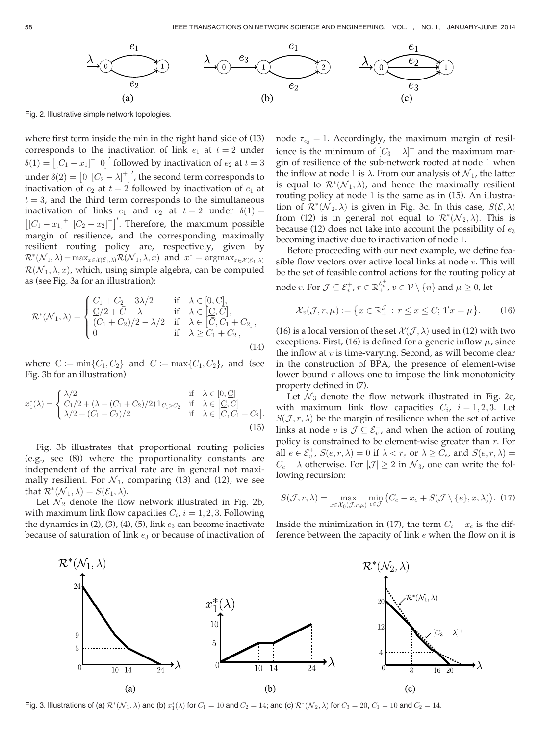

Fig. 2. Illustrative simple network topologies.

where first term inside the min in the right hand side of (13) corresponds to the inactivation of link  $e_1$  at  $t = 2$  under  $\delta(1) = \left[ [C_1 - x_1]^+ \ 0 \right]'$  followed by inactivation of  $e_2$  at  $t = 3$ under  $\delta(2) = \left[0 \left[ C_2 - \lambda \right]^+ \right]'$ , the second term corresponds to inactivation of  $\epsilon_0$  at  $t = 2$  followed by inactivation of  $\epsilon_0$  at inactivation of  $e_2$  at  $t = 2$  followed by inactivation of  $e_1$  at  $t = 3$  and the third term corresponds to the simultaneous  $t = 3$ , and the third term corresponds to the simultaneous inactivation of links  $e_1$  and  $e_2$  at  $t = 2$  under  $\delta(1) =$  $\left[\left[C_1 - x_1\right]^+ \left[C_2 - x_2\right]^+\right]$ . Therefore, the maximum possible<br>maxim of resilience, and the corresponding maximally margin of resilience, and the corresponding maximally resilient routing policy are, respectively, given by  $\mathcal{R}^*(\mathcal{N}_1, \lambda) = \max_{x \in \mathcal{X}(\mathcal{E}_1, \lambda)} \mathcal{R}(\mathcal{N}_1, \lambda, x)$  and  $x^* = \operatorname{argmax}_{x \in \mathcal{X}(\mathcal{E}_1, \lambda)} \mathcal{R}(\mathcal{N}_1, \lambda, x)$  $\mathcal{R}(\mathcal{N}_1, \lambda, x)$ , which, using simple algebra, can be computed as (see Fig. 3a for an illustration): as (see Fig. 3a for an illustration):

$$
\mathcal{R}^*(\mathcal{N}_1,\lambda) = \begin{cases} C_1 + C_2 - 3\lambda/2 & \text{if } \lambda \in [0,\underline{C}],\\ \frac{C}{2} + \overline{C} - \lambda & \text{if } \lambda \in [\underline{C},\overline{C}],\\ (C_1 + C_2)/2 - \lambda/2 & \text{if } \lambda \in [\overline{C},C_1+C_2],\\ 0 & \text{if } \lambda \ge C_1 + C_2, \end{cases} \tag{14}
$$

where  $\underline{C} := \min\{C_1, C_2\}$  and  $\overline{C} := \max\{C_1, C_2\}$ , and (see Fig. 3b for an illustration)

$$
x_1^*(\lambda) = \begin{cases} \lambda/2 & \text{if } \lambda \in [0, \underline{C}] \\ C_1/2 + (\lambda - (C_1 + C_2)/2) \mathbbm{1}_{C_1 > C_2} & \text{if } \lambda \in [\underline{C}, \overline{C}] \\ \lambda/2 + (C_1 - C_2)/2 & \text{if } \lambda \in [\overline{C}, C_1 + C_2]. \end{cases}
$$
(15)

Fig. 3b illustrates that proportional routing policies (e.g., see (8)) where the proportionality constants are independent of the arrival rate are in general not maximally resilient. For  $\mathcal{N}_1$ , comparing (13) and (12), we see that  $\mathcal{R}^*(\mathcal{N}_1, \lambda) = S(\mathcal{E}_1, \lambda).$ <br>Let  $\mathcal{N}_2$  denote the flo

Let  $\mathcal{N}_2$  denote the flow network illustrated in Fig. 2b, with maximum link flow capacities  $C_i$ ,  $i = 1, 2, 3$ . Following the dynamics in  $(2)$ ,  $(3)$ ,  $(4)$ ,  $(5)$ , link  $e_3$  can become inactivate because of saturation of link  $e_3$  or because of inactivation of node  $\tau_{e_3} = 1$ . Accordingly, the maximum margin of resilience is the minimum of  $[C_3 - \lambda]^+$  and the maximum mar-<br>gin of resilience of the sub-network rooted at node 1 when gin of resilience of the sub-network rooted at node 1 when the inflow at node 1 is  $\lambda$ . From our analysis of  $\mathcal{N}_1$ , the latter<br>is equal to  $\mathcal{R}^*(\mathcal{N}, \lambda)$  and hence the maximally resilient is equal to  $\mathcal{R}^*(\mathcal{N}_1,\lambda)$ , and hence the maximally resilient<br>routing policy at node 1 is the same as in (15). An illustrarouting policy at node 1 is the same as in (15). An illustration of  $\mathcal{R}^*(\mathcal{N}_2, \lambda)$  is given in Fig. 3c. In this case,  $S(\mathcal{E}, \lambda)$ <br>from (12) is in general not equal to  $\mathcal{R}^*(\mathcal{N}_2, \lambda)$ . This i from (12) is in general not equal to  $\mathcal{R}^*(\mathcal{N}_2, \lambda)$ . This is<br>because (12) does not take into account the possibility of eq because (12) does not take into account the possibility of  $e_3$ becoming inactive due to inactivation of node 1.

Before proceeding with our next example, we define feasible flow vectors over active local links at node  $v$ . This will be the set of feasible control actions for the routing policy at node v. For  $\mathcal{J} \subseteq \mathcal{E}_v^+$ ,  $r \in \mathbb{R}_+^{\mathcal{E}_v^-}$ ,  $v \in \mathcal{V} \setminus \{n\}$  and  $\mu \geq 0$ , let

$$
\mathcal{X}_v(\mathcal{J}, r, \mu) := \{ x \in \mathbb{R}_+^{\mathcal{J}} : r \le x \le C; \mathbf{1}'x = \mu \}.
$$
 (16)

(16) is a local version of the set  $\mathcal{X}(\mathcal{J},\lambda)$  used in (12) with two exceptions. First (16) is defined for a generic inflow  $\mu$ , since exceptions. First, (16) is defined for a generic inflow  $\mu$ , since the inflow at  $v$  is time-varying. Second, as will become clear in the construction of BPA, the presence of element-wise lower bound  $r$  allows one to impose the link monotonicity property defined in (7).

Let  $\mathcal{N}_3$  denote the flow network illustrated in Fig. 2c, with maximum link flow capacities  $C_i$ ,  $i = 1, 2, 3$ . Let  $S(\mathcal{J}, r, \lambda)$  be the margin of resilience when the set of active<br>links at node u.is  $\mathcal{J} \subseteq \mathcal{S}^+$  and when the action of routing links at node v is  $\mathcal{J} \subseteq \mathcal{E}_v^+$ , and when the action of routing policy is constrained to be element-wise greater than x. For policy is constrained to be element-wise greater than  $r$ . For all  $e \in \mathcal{E}_v^+$ ,  $S(e, r, \lambda) = 0$  if  $\lambda < r_e$  or  $\lambda \ge C_e$ , and  $S(e, r, \lambda)$ <br> $C = \lambda$  otherwise For  $|\mathcal{I}| > 2$  in  $\mathcal{N}_e$  one can write the  $C_e - \lambda$  otherwise. For  $|\mathcal{J}| \geq 2$  in  $\mathcal{N}_3$ , one can write the following recursion:

$$
S(\mathcal{J}, r, \lambda) = \max_{x \in \mathcal{X}_0(\mathcal{J}, r, \mu)} \min_{e \in \mathcal{J}} \left( C_e - x_e + S(\mathcal{J} \setminus \{e\}, x, \lambda) \right). \tag{17}
$$

Inside the minimization in (17), the term  $C_e - x_e$  is the difference between the capacity of link e when the flow on it is



Fig. 3. Illustrations of (a)  $\mathcal{R}^*(\mathcal{N}_1,\lambda)$  and (b)  $x_1^*(\lambda)$  for  $C_1 = 10$  and  $C_2 = 14$ ; and (c)  $\mathcal{R}^*(\mathcal{N}_2,\lambda)$  for  $C_3 = 20$ ,  $C_1 = 10$  and  $C_2 = 14$ .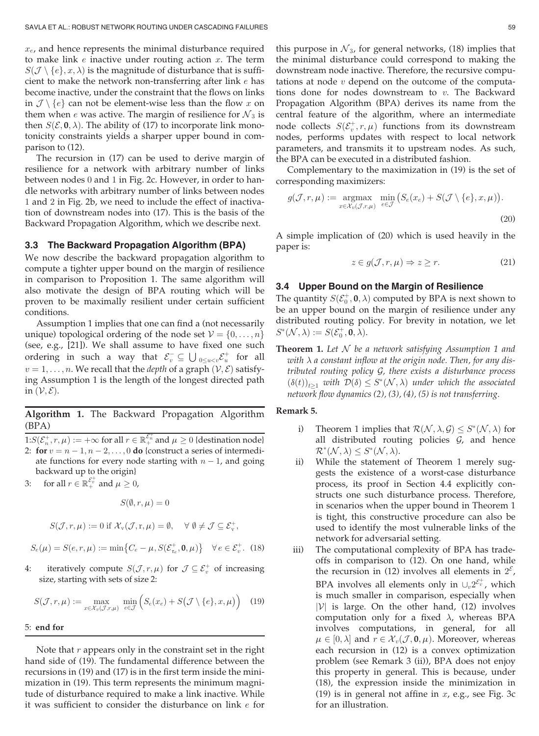$x_e$ , and hence represents the minimal disturbance required to make link  $e$  inactive under routing action  $x$ . The term  $S(\mathcal{J} \setminus \{e\}, x, \lambda)$  is the magnitude of disturbance that is suffi-<br>cient to make the network non-transferring after link e has cient to make the network non-transferring after link e has become inactive, under the constraint that the flows on links in  $\mathcal{J}\setminus\{e\}$  can not be element-wise less than the flow x on them when e was active. The margin of resilience for  $\mathcal{N}_3$  is then  $S(\mathcal{E}, \mathbf{0}, \lambda)$ . The ability of (17) to incorporate link mono-<br>tonicity constraints vields a sharper upper bound in comtonicity constraints yields a sharper upper bound in comparison to (12).

The recursion in (17) can be used to derive margin of resilience for a network with arbitrary number of links between nodes 0 and 1 in Fig. 2c. However, in order to handle networks with arbitrary number of links between nodes 1 and 2 in Fig. 2b, we need to include the effect of inactivation of downstream nodes into (17). This is the basis of the Backward Propagation Algorithm, which we describe next.

## 3.3 The Backward Propagation Algorithm (BPA)

We now describe the backward propagation algorithm to compute a tighter upper bound on the margin of resilience in comparison to Proposition 1. The same algorithm will also motivate the design of BPA routing which will be proven to be maximally resilient under certain sufficient conditions.

Assumption 1 implies that one can find a (not necessarily unique) topological ordering of the node set  $V = \{0, \ldots, n\}$ (see, e.g., [21]). We shall assume to have fixed one such ordering in such a way that  $\mathcal{E}_v^- \subseteq \bigcup_{0 \le u < v} \mathcal{E}_u^+$  for all  $v = 1$ , as We recall that the depth of a graph  $(v, \mathcal{E})$  orticity.  $v = 1, \ldots, n$ . We recall that the *depth* of a graph  $(\mathcal{V}, \mathcal{E})$  satisfying Assumption 1 is the length of the longest directed path in  $(\mathcal{V}, \mathcal{E})$ .

Algorithm 1. The Backward Propagation Algorithm (BPA)

1: $S(\mathcal{E}_n^+, r, \mu) := +\infty$  for all  $r \in \mathbb{R}_+^{\mathcal{E}_n^+}$  and  $\mu \ge 0$  {destination node}<br>2. **for**  $n - n - 1$ ,  $n - 2$  () do (construct a series of intermedi-2: for  $v = n - 1, n - 2, \ldots, 0$  do {construct a series of intermediate functions for every node starting with  $n - 1$ , and going backward up to the origin}

3: for all  $r \in \mathbb{R}_+^{\mathcal{E}_v^+}$  and  $\mu \geq 0$ ,

$$
S(\emptyset, r, \mu) = 0
$$

$$
S(\mathcal{J}, r, \mu) := 0 \text{ if } \mathcal{X}_{\mathbf{v}}(\mathcal{J}, \mathbf{r}, \mu) = \emptyset, \quad \forall \ \emptyset \neq \mathcal{J} \subseteq \mathcal{E}_{\mathbf{v}}^+,
$$

$$
S_e(\mu) = S(e, r, \mu) := \min \{ C_e - \mu, S(\mathcal{E}_{\tau_e}^+, \mathbf{0}, \mu) \} \quad \forall e \in \mathcal{E}_v^+. \tag{18}
$$

4: iteratively compute  $S(\mathcal{J}, r, \mu)$  for  $\mathcal{J} \subseteq \mathcal{E}_v^+$  of increasing size starting with sets of size 2: size, starting with sets of size 2:

$$
S(\mathcal{J}, r, \mu) := \max_{x \in \mathcal{X}_v(\mathcal{J}, r, \mu)} \min_{e \in \mathcal{J}} \left( S_e(x_e) + S(\mathcal{J} \setminus \{e\}, x, \mu) \right) \tag{19}
$$

#### 5: end for

Note that  $r$  appears only in the constraint set in the right hand side of (19). The fundamental difference between the recursions in (19) and (17) is in the first term inside the minimization in (19). This term represents the minimum magnitude of disturbance required to make a link inactive. While it was sufficient to consider the disturbance on link e for

this purpose in  $\mathcal{N}_3$ , for general networks, (18) implies that the minimal disturbance could correspond to making the downstream node inactive. Therefore, the recursive computations at node  $v$  depend on the outcome of the computations done for nodes downstream to  $v$ . The Backward Propagation Algorithm (BPA) derives its name from the central feature of the algorithm, where an intermediate node collects  $S(\mathcal{E}_v^+, r, \mu)$  functions from its downstream<br>nodes performs undates with respect to local network nodes, performs updates with respect to local network parameters, and transmits it to upstream nodes. As such, the BPA can be executed in a distributed fashion.

Complementary to the maximization in (19) is the set of corresponding maximizers:

$$
g(\mathcal{J}, r, \mu) := \underset{x \in \mathcal{X}_v(\mathcal{J}, r, \mu)}{\operatorname{argmax}} \ \underset{e \in \mathcal{J}}{\operatorname{min}} \left( S_e(x_e) + S(\mathcal{J} \setminus \{e\}, x, \mu) \right). \tag{20}
$$

A simple implication of (20) which is used heavily in the paper is:

$$
z \in g(\mathcal{J}, r, \mu) \Rightarrow z \ge r. \tag{21}
$$

#### 3.4 Upper Bound on the Margin of Resilience

The quantity  $S(\mathcal{E}_0^+, \mathbf{0}, \lambda)$  computed by BPA is next shown to be an upper bound on the margin of resilience under any be an upper bound on the margin of resilience under any distributed routing policy. For brevity in notation, we let  $S^*(\mathcal{N},\lambda) := S(\mathcal{E}_0^+, \mathbf{0}, \lambda).$ 

**Theorem 1.** Let  $N$  be a network satisfying Assumption 1 and with  $\lambda$  a constant inflow at the origin node. Then, for any distributed routing policy G, there exists a disturbance process  $(\delta(t))_{t\geq 1}$  with  $\mathcal{D}(\delta) \leq S^*(\mathcal{N}, \lambda)$  under which the associated network flow dynamics (2) (3) (4) (5) is not transferring network flow dynamics (2), (3), (4), (5) is not transferring.

#### Remark 5.

- i) Theorem 1 implies that  $\mathcal{R}(\mathcal{N}, \lambda, \mathcal{G}) \leq S^*(\mathcal{N}, \lambda)$  for<br>all distributed routing policies G and bence all distributed routing policies  $G$ , and hence  $\mathcal{S}^*(\mathcal{N}, \lambda) \leq S^*(\mathcal{N}, \lambda).$
- $R^{\pi}$   $(N, \lambda) \leq S^{\pi}$   $(N, \lambda)$ .<br>
While the statement of Theorem 1 merely suggests the existence of a worst-case disturbance process, its proof in Section 4.4 explicitly constructs one such disturbance process. Therefore, in scenarios when the upper bound in Theorem 1 is tight, this constructive procedure can also be used to identify the most vulnerable links of the network for adversarial setting.
- iii) The computational complexity of BPA has tradeoffs in comparison to (12). On one hand, while the recursion in (12) involves all elements in  $2^{\varepsilon}$ , BPA involves all elements only in  $\cup_v 2^{\mathcal{E}_v}$ , which<br>is much smaller in comparison, especially when is much smaller in comparison, especially when  $|V|$  is large. On the other hand, (12) involves computation only for a fixed  $\lambda$ , whereas BPA involves computations, in general, for all  $\mu \in [0, \lambda]$  and  $\tau \in \mathcal{X}_{v}(\mathcal{J}, \mathbf{0}, \mu)$ . Moreover, whereas each recursion in (12) is a convex optimization problem (see Remark 3 (ii)), BPA does not enjoy this property in general. This is because, under (18), the expression inside the minimization in (19) is in general not affine in  $x$ , e.g., see Fig. 3c for an illustration.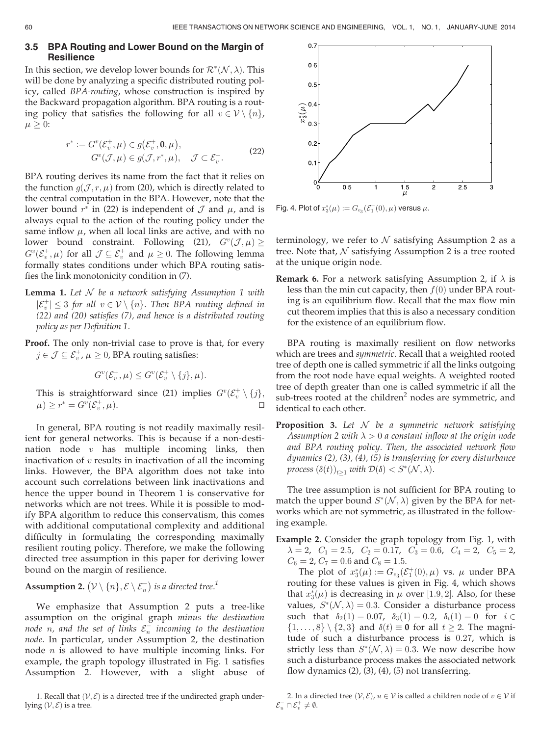## 3.5 BPA Routing and Lower Bound on the Margin of **Resilience**

In this section, we develop lower bounds for  $\mathcal{R}^*(\mathcal{N}, \lambda)$ . This<br>will be done by analyzing a specific distributed routing polwill be done by analyzing a specific distributed routing policy, called BPA-routing, whose construction is inspired by the Backward propagation algorithm. BPA routing is a routing policy that satisfies the following for all  $v \in \mathcal{V} \setminus \{n\}$ ,  $\mu \geq 0$ :

$$
r^* := G^v(\mathcal{E}_v^+, \mu) \in g(\mathcal{E}_v^+, \mathbf{0}, \mu),
$$
  
\n
$$
G^v(\mathcal{J}, \mu) \in g(\mathcal{J}, r^*, \mu), \quad \mathcal{J} \subset \mathcal{E}_v^+.
$$
\n(22)

BPA routing derives its name from the fact that it relies on the function  $g(\mathcal{J}, r, \mu)$  from (20), which is directly related to the central computation in the BPA. However, note that the lower bound  $r^*$  in (22) is independent of  $\mathcal J$  and  $\mu$ , and is always equal to the action of the routing policy under the always equal to the action of the routing policy under the same inflow  $\mu$ , when all local links are active, and with no lower bound constraint. Following (21),  $G^v(\mathcal{J}, \mu) \geq$  $G^v(\mathcal{E}_v^*,\mu)$  for all  $\mathcal{J} \subseteq \mathcal{E}_v^+$  and  $\mu \geq 0$ . The following lemma<br>formally states conditions under which RPA routing satisformally states conditions under which BPA routing satisfies the link monotonicity condition in (7).

- **Lemma 1.** Let  $N$  be a network satisfying Assumption 1 with  $|{\mathcal{C}}_v| \leq 3$  for an  $v \in V \setminus \{n\}$ . Then BPA routing aefined in<br>(22) and (20) satisfies (7), and hence is a distributed routing  $|\mathcal{E}_v^+| \leq 3$  for all  $v \in \mathcal{V} \setminus \{n\}$ . Then BPA routing defined in policy as per Definition 1.
- Proof. The only non-trivial case to prove is that, for every  $j \in \mathcal{J} \subseteq \mathcal{E}_v^+$ ,  $\mu \geq 0$ , BPA routing satisfies:

$$
G^{v}(\mathcal{E}_{v}^{+},\mu) \leq G^{v}(\mathcal{E}_{v}^{+}\setminus\{j\},\mu).
$$

This is straightforward since (21) implies  $G^v(\mathcal{E}_v^+ \setminus \{j\},$ <br>  $g(v) \geq r^* - C^v(\mathcal{E}_v^+ \mid u)$  $\mu$ )  $\geq r^* = G^v(\mathcal{E}_v^+)$  $v^+_v, \mu$ .

In general, BPA routing is not readily maximally resilient for general networks. This is because if a non-destination node  $v$  has multiple incoming links, then inactivation of  $v$  results in inactivation of all the incoming links. However, the BPA algorithm does not take into account such correlations between link inactivations and hence the upper bound in Theorem 1 is conservative for networks which are not trees. While it is possible to modify BPA algorithm to reduce this conservatism, this comes with additional computational complexity and additional difficulty in formulating the corresponding maximally resilient routing policy. Therefore, we make the following directed tree assumption in this paper for deriving lower bound on the margin of resilience.

**Assumption 2.**  $(\mathcal{V} \setminus \{n\}, \mathcal{E} \setminus \mathcal{E}_n^-)$  is a directed tree.<sup>1</sup>

We emphasize that Assumption 2 puts a tree-like assumption on the original graph minus the destination node n, and the set of links  $\mathcal{E}_n^-$  incoming to the destination<br>node In particular under Assumption 2, the destination node. In particular, under Assumption 2, the destination node n is allowed to have multiple incoming links. For example, the graph topology illustrated in Fig. 1 satisfies Assumption 2. However, with a slight abuse of

1. Recall that  $(V, E)$  is a directed tree if the undirected graph underlying  $(V, E)$  is a tree.



Fig. 4. Plot of  $x_3^*(\mu) := G_{e_3}(\mathcal{E}_1^+(0), \mu)$  versus  $\mu$ .

terminology, we refer to  $N$  satisfying Assumption 2 as a tree. Note that,  $N$  satisfying Assumption 2 is a tree rooted at the unique origin node.

**Remark 6.** For a network satisfying Assumption 2, if  $\lambda$  is less than the min cut capacity, then  $f(0)$  under BPA routing is an equilibrium flow. Recall that the max flow min cut theorem implies that this is also a necessary condition for the existence of an equilibrium flow.

BPA routing is maximally resilient on flow networks which are trees and symmetric. Recall that a weighted rooted tree of depth one is called symmetric if all the links outgoing from the root node have equal weights. A weighted rooted tree of depth greater than one is called symmetric if all the sub-trees rooted at the children<sup>2</sup> nodes are symmetric, and identical to each other.

**Proposition 3.** Let  $N$  be a symmetric network satisfying Assumption 2 with  $\lambda > 0$  a constant inflow at the origin node and BPA routing policy. Then, the associated network flow dynamics (2), (3), (4), (5) is transferring for every disturbance process  $(\delta(t))_{t\geq 1}$  with  $\mathcal{D}(\delta) < S^*(\mathcal{N}, \lambda)$ .

The tree assumption is not sufficient for BPA routing to match the upper bound  $S^*(\mathcal{N}, \lambda)$  given by the BPA for net-<br>works which are not symmetric, as illustrated in the followworks which are not symmetric, as illustrated in the following example.

Example 2. Consider the graph topology from Fig. 1, with  $\lambda = 2, C_1 = 2.5, C_2 = 0.17, C_3 = 0.6, C_4 = 2, C_5 = 2,$ <br>  $C_6 = 2, C_7 = 0.6$  and  $C_2 = 1.5$  $C_6 = 2$ ,  $C_7 = 0.6$  and  $C_8 = 1.5$ .

The plot of  $x_3^*(\mu) := G_{e_3}(\mathcal{E}_1^+(0), \mu)$  vs.  $\mu$  under BPA<br>ting for these values is given in Fig. 4, which shows routing for these values is given in Fig. 4, which shows that  $x_3^*(\mu)$  is decreasing in  $\mu$  over [1.9, 2]. Also, for these<br>values  $S^*(\mu) = 0.3$  Consider a disturbance process values,  $S^*(N, \lambda) = 0.3$ . Consider a disturbance process<br>such that  $\delta_0(1) = 0.07$   $\delta_0(1) = 0.2$   $\delta_0(1) = 0$  for  $i \in$ such that  $\delta_2(1) = 0.07$ ,  $\delta_3(1) = 0.2$ ,  $\delta_i(1) = 0$  for  $i \in$  $\{1,\ldots,8\}\setminus\{2,3\}$  and  $\delta(t)\equiv 0$  for all  $t\geq 2$ . The magnitude of such a disturbance process is 0.27, which is strictly less than  $S^*(N, \lambda) = 0.3$ . We now describe how<br>such a disturbance process makes the associated network such a disturbance process makes the associated network flow dynamics  $(2)$ ,  $(3)$ ,  $(4)$ ,  $(5)$  not transferring.

2. In a directed tree  $(V, E)$ ,  $u \in V$  is called a children node of  $v \in V$  if  $\mathcal{E}_u^- \cap \mathcal{E}_v^+ \neq \emptyset.$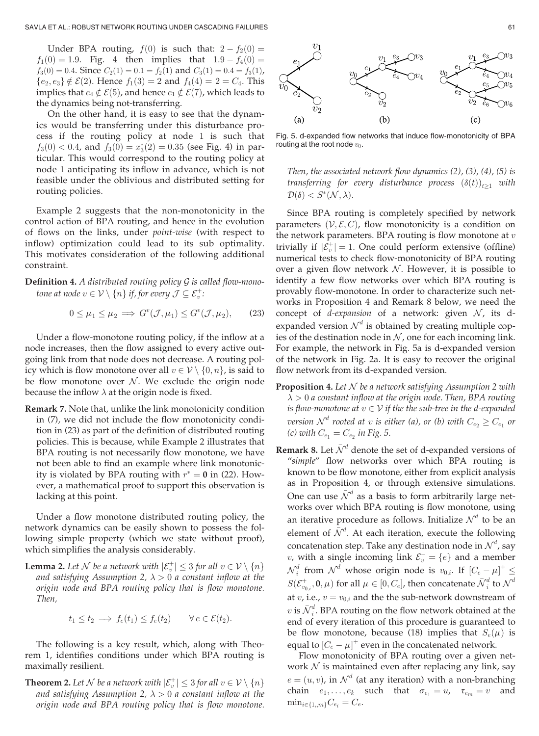Under BPA routing,  $f(0)$  is such that:  $2 - f_2(0) =$  $f_1(0) = 1.9$ . Fig. 4 then implies that  $1.9 - f_4(0) =$  $f_3(0) = 0.4$ . Since  $C_2(1) = 0.1 = f_2(1)$  and  $C_3(1) = 0.4 = f_3(1)$ ,  ${e_2, e_3} \notin \mathcal{E}(2)$ . Hence  $f_1(3) = 2$  and  $f_4(4) = 2 = C_4$ . This implies that  $e_4 \notin \mathcal{E}(5)$ , and hence  $e_1 \notin \mathcal{E}(7)$ , which leads to the dynamics being not-transferring.

On the other hand, it is easy to see that the dynamics would be transferring under this disturbance process if the routing policy at node 1 is such that  $f_3(0) < 0.4$ , and  $f_3(0) = x_3^*(2) = 0.35$  (see Fig. 4) in particular. This would correspond to the routing policy at ticular. This would correspond to the routing policy at node 1 anticipating its inflow in advance, which is not feasible under the oblivious and distributed setting for routing policies.

Example 2 suggests that the non-monotonicity in the control action of BPA routing, and hence in the evolution of flows on the links, under point-wise (with respect to inflow) optimization could lead to its sub optimality. This motivates consideration of the following additional constraint.

**Definition 4.** A distributed routing policy  $G$  is called flow-monotone at node  $v \in \mathcal{V} \setminus \{n\}$  if, for every  $\mathcal{J} \subseteq \mathcal{E}_v^+$ :

$$
0 \le \mu_1 \le \mu_2 \implies G^v(\mathcal{J}, \mu_1) \le G^v(\mathcal{J}, \mu_2), \qquad (23)
$$

Under a flow-monotone routing policy, if the inflow at a node increases, then the flow assigned to every active outgoing link from that node does not decrease. A routing policy which is flow monotone over all  $v \in V \setminus \{0, n\}$ , is said to be flow monotone over  $N$ . We exclude the origin node because the inflow  $\lambda$  at the origin node is fixed.

Remark 7. Note that, unlike the link monotonicity condition in (7), we did not include the flow monotonicity condition in (23) as part of the definition of distributed routing policies. This is because, while Example 2 illustrates that BPA routing is not necessarily flow monotone, we have not been able to find an example where link monotonicity is violated by BPA routing with  $r^* = \mathbf{0}$  in (22). How-<br>ever a mathematical proof to support this observation is ever, a mathematical proof to support this observation is lacking at this point.

Under a flow monotone distributed routing policy, the network dynamics can be easily shown to possess the following simple property (which we state without proof), which simplifies the analysis considerably.

**Lemma 2.** Let N be a network with  $|\mathcal{E}_v^+| \leq 3$  for all  $v \in \mathcal{V} \setminus \{n\}$ <br>and satisfuing Assumption 2,  $\lambda > 0$  a constant inflam at the and satisfying Assumption 2,  $\lambda > 0$  a constant inflow at the origin node and BPA routing policy that is flow monotone. Then,

$$
t_1 \leq t_2 \implies f_e(t_1) \leq f_e(t_2) \quad \forall e \in \mathcal{E}(t_2).
$$

The following is a key result, which, along with Theorem 1, identifies conditions under which BPA routing is maximally resilient.

**Theorem 2.** Let N be a network with  $|\mathcal{E}_v^+| \leq 3$  for all  $v \in \mathcal{V} \setminus \{n\}$ <br>and satisfuing Assumption 2,  $\lambda > 0$  a constant inflam at the and satisfying Assumption 2,  $\lambda > 0$  a constant inflow at the origin node and BPA routing policy that is flow monotone.



Fig. 5. d-expanded flow networks that induce flow-monotonicity of BPA routing at the root node  $v_0$ .

Then, the associated network flow dynamics  $(2)$ ,  $(3)$ ,  $(4)$ ,  $(5)$  is transferring for every disturbance process  $(\delta(t))_{t>1}$  with  $\mathcal{D}(\delta) < S^*(\mathcal{N}, \lambda).$ 

Since BPA routing is completely specified by network parameters  $(V, \mathcal{E}, C)$ , flow monotonicity is a condition on the network parameters. BPA routing is flow monotone at  $v$ trivially if  $|\mathcal{E}_v^+| = 1$ . One could perform extensive (offline)<br>numerical tests to check flow-monotonicity of BPA routing numerical tests to check flow-monotonicity of BPA routing over a given flow network  $N$ . However, it is possible to identify a few flow networks over which BPA routing is provably flow-monotone. In order to characterize such networks in Proposition 4 and Remark 8 below, we need the concept of *d-expansion* of a network: given  $N$ , its dexpanded version  $\mathcal{N}^d$  is obtained by creating multiple copies of the destination node in  $N$ , one for each incoming link. For example, the network in Fig. 5a is d-expanded version of the network in Fig. 2a. It is easy to recover the original flow network from its d-expanded version.

- **Proposition 4.** Let  $N$  be a network satisfying Assumption 2 with  $\lambda > 0$  a constant inflow at the origin node. Then, BPA routing is flow-monotone at  $v \in V$  if the the sub-tree in the d-expanded version  $N^d$  rooted at v is either (a), or (b) with  $C_{e_2} \geq C_{e_1}$  or (c) with  $C_{e_1} = C_{e_2}$  in Fig. 5.
- **Remark 8.** Let  $\bar{\mathcal{N}}^d$  denote the set of d-expanded versions of "simple" flow networks, over which BPA routing is "simple" flow networks over which BPA routing is known to be flow monotone, either from explicit analysis as in Proposition 4, or through extensive simulations. One can use  $\bar{\mathcal{N}}^d$  as a basis to form arbitrarily large net-<br>works over which BPA routing is flow monotone using works over which BPA routing is flow monotone, using an iterative procedure as follows. Initialize  $\mathcal{N}^d$  to be an element of  $\bar{\mathcal{N}}^d$ . At each iteration, execute the following concatenation step. Take any destination node in  $\mathcal{N}^d$ , say<br>*y*, with a single incoming link  $\mathcal{E}^- = \{e\}$  and a member v, with a single incoming link  $\mathcal{E}_v^- = \{e\}$  and a member  $\bar{\mathcal{N}}_i^d$  from  $\bar{\mathcal{N}}_i^d$  whose origin node is  $v_{0,i}$ . If  $[C_e - \mu]^+ \leq$  $S(\mathcal{E}_{v_{0,i}}^+,\mathbf{0},\mu)$  for all  $\mu \in [0,C_e]$ , then concatenate  $\bar{\mathcal{N}}_i^d$  to  $\mathcal{N}^d$ at v, i.e.,  $v = v_{0,i}$  and the the sub-network downstream of  $v$  is  $\bar{\mathcal{N}}_i^d$ . BPA routing on the flow network obtained at the end of every iteration of this procedure is quaranteed to end of every iteration of this procedure is guaranteed to be flow monotone, because (18) implies that  $S_e(\mu)$  is equal to  $[C_e - \mu]^+$  even in the concatenated network.<br>Flow monotonicity of BPA routing over a given

Flow monotonicity of BPA routing over a given network  $N$  is maintained even after replacing any link, say  $e = (u, v)$ , in  $\mathcal{N}^d$  (at any iteration) with a non-branching chain  $e_1, \ldots, e_k$  such that  $\sigma_{e_1} = u$ ,  $\tau_{e_m} = v$  and  $\min_{i \in \{1, m\}} C_{e_i} = C_e.$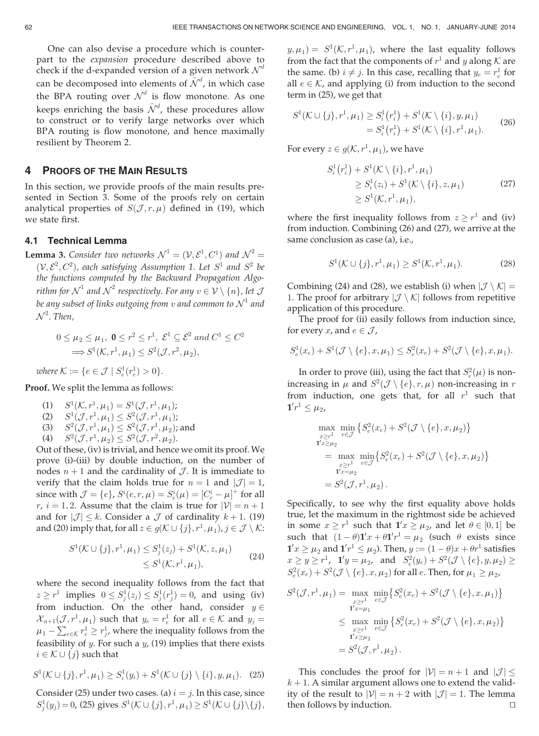One can also devise a procedure which is counterpart to the expansion procedure described above to check if the d-expanded version of a given network  $\mathcal{N}^d$ can be decomposed into elements of  $\bar{\mathcal{N}}^d$ , in which case the BPA routing over  $\mathcal{N}^d$  is flow monotone. As one keeps enriching the basis  $\bar{N}^d$ , these procedures allow<br>to construct or to verify large networks over which to construct or to verify large networks over which BPA routing is flow monotone, and hence maximally resilient by Theorem 2.

## 4 PROOFS OF THE MAIN RESULTS

In this section, we provide proofs of the main results presented in Section 3. Some of the proofs rely on certain analytical properties of  $S(\mathcal{J}, r, \mu)$  defined in (19), which we state first.

## 4.1 Technical Lemma

**Lemma 3.** Consider two networks  $\mathcal{N}^1 = (\mathcal{V}, \mathcal{E}^1, \mathcal{C}^1)$  and  $\mathcal{N}^2 = (\mathcal{V}, \mathcal{E}^2, \mathcal{C}^2)$ , and attiching Accumulion 1, Let  $S^1$  and  $S^2$  has  $(V, \mathcal{E}^2, C^2)$ , each satisfying Assumption 1. Let  $S^1$  and  $S^2$  be<br>the functions commuted by the Backward Propagation Algothe functions computed by the Backward Propagation Algorithm for  $\mathcal{N}^1$  and  $\mathcal{N}^2$  respectively. For any  $v \in \mathcal{V} \setminus \{n\}$ , let  $\mathcal{J}$ be any subset of links outgoing from v and common to  $\mathcal{N}^1$  and  $\mathcal{N}^2$ . Then,

$$
0 \le \mu_2 \le \mu_1, \ \mathbf{0} \le r^2 \le r^1, \ \mathcal{E}^1 \subseteq \mathcal{E}^2 \ and \ C^1 \le C^2
$$

$$
\implies S^1(\mathcal{K}, r^1, \mu_1) \le S^2(\mathcal{J}, r^2, \mu_2),
$$

where  $\mathcal{K} := \{e \in \mathcal{J} \mid S_e^1(r_e^1) > 0\}.$ 

Proof. We split the lemma as follows:

(1) 
$$
S^1(\mathcal{K}, r^1, \mu_1) = S^1(\mathcal{J}, r^1, \mu_1);
$$
  
\n(2)  $S^1(\mathcal{J}, r^1, \mu_1) < S^2(\mathcal{J}, r^1, \mu_1)$ 

(2) 
$$
S^1(\mathcal{J}, r^1, \mu_1) \leq S^2(\mathcal{J}, r^1, \mu_1);
$$
  
\n(3)  $S^2(\mathcal{J}, r^1, \mu_1) \leq S^2(\mathcal{J}, r^1, \mu_1);$ 

- (3)  $S^2(\mathcal{J}, r^1, \mu_1) \leq S^2(\mathcal{J}, r^1, \mu_2)$ ; and<br>(4)  $S^2(\mathcal{J}, r^1, \mu_1) < S^2(\mathcal{J}, r^2, \mu_2)$
- (4)  $S^2(\mathcal{J}, r^1, \mu_2) \leq S^2(\mathcal{J}, r^2, \mu_2)$ .

Out of these, (iv) is trivial, and hence we omit its proof. We prove (i)-(iii) by double induction, on the number of nodes  $n + 1$  and the cardinality of  $J$ . It is immediate to verify that the claim holds true for  $n = 1$  and  $|\mathcal{J}| = 1$ , since with  $\mathcal{J} = \{e\}$ ,  $S^i(e, r, \mu) = S^i_e(\mu) = [C^i_e - \mu]^+$  for all  $r, i = 1, 2$ . Assume that the claim is true for  $|\mathcal{V}| = n + 1$ . r,  $i = 1, 2$ . Assume that the claim is true for  $|\mathcal{V}| = n + 1$ and for  $|\mathcal{J}| \leq k$ . Consider a  $\mathcal J$  of cardinality  $k + 1$ . (19) and (20) imply that, for all  $z \in g(K \cup \{j\}, r^1, \mu_1), j \in \mathcal{J} \setminus \mathcal{K}:$ 

$$
S^{1}(\mathcal{K} \cup \{j\}, r^{1}, \mu_{1}) \leq S_{j}^{1}(z_{j}) + S^{1}(\mathcal{K}, z, \mu_{1}) \leq S^{1}(\mathcal{K}, r^{1}, \mu_{1}),
$$
\n(24)

where the second inequality follows from the fact that  $z \ge r^1$  implies  $0 \le S_j^1(z_j) \le S_j^1(r_j^1) = 0$ , and using (iv) from induction. On the other hand, consider  $y \in$  $\mathcal{X}_{n+1}(\mathcal{J}, r^1, \mu_1)$  such that  $y_e = r_e^1$  for all  $e \in \mathcal{K}$  and  $y_j = u$ <br> $\sum_{n=1}^{\infty} a_n^1 \geq r_e^1$  where the inequality follows from the  $\mu_1 - \sum_{e \in \mathcal{K}} r_e^1 \ge r_j^1$ , where the inequality follows from the feasibility of y. For such a  $y$ , (19) implies that there exists  $i \in \mathcal{K} \cup \{j\}$  such that

$$
S^1(\mathcal{K} \cup \{j\}, r^1, \mu_1) \ge S_i^1(y_i) + S^1(\mathcal{K} \cup \{j\} \setminus \{i\}, y, \mu_1). \tag{25}
$$

Consider (25) under two cases. (a)  $i = j$ . In this case, since  $S_j^1(y_j) = 0$ , (25) gives  $S^1(\mathcal{K} \cup \{j\}, r^1, \mu_1) \ge S^1(\mathcal{K} \cup \{j\} \setminus \{j\},$ 

 $y, \mu_1$ ) =  $S^1(\mathcal{K}, r^1, \mu_1)$ , where the last equality follows from the fact that the components of  $r^1$  and y along K are the same. (b)  $i \neq j$ . In this case, recalling that  $y_e = r_e^1$  for all  $e \in K$  and applying (i) from induction to the second all  $e \in \mathcal{K}$ , and applying (i) from induction to the second term in (25), we get that

$$
S^{1}(\mathcal{K} \cup \{j\}, r^{1}, \mu_{1}) \geq S_{i}^{1}(r_{i}^{1}) + S^{1}(\mathcal{K} \setminus \{i\}, y, \mu_{1})
$$
  
=  $S_{i}^{1}(r_{i}^{1}) + S^{1}(\mathcal{K} \setminus \{i\}, r^{1}, \mu_{1}).$  (26)

For every  $z \in g(\mathcal{K}, r^1, \mu_1)$ , we have

$$
S_i^1(r_i^1) + S^1(\mathcal{K} \setminus \{i\}, r^1, \mu_1) \geq S_i^1(z_i) + S^1(\mathcal{K} \setminus \{i\}, z, \mu_1) \geq S^1(\mathcal{K}, r^1, \mu_1),
$$
\n(27)

where the first inequality follows from  $z \ge r^1$  and (iv) from induction. Combining (26) and (27), we arrive at the same conclusion as case (a), i.e.,

$$
S^{1}(\mathcal{K} \cup \{j\}, r^{1}, \mu_{1}) \ge S^{1}(\mathcal{K}, r^{1}, \mu_{1}).
$$
 (28)

Combining (24) and (28), we establish (i) when  $|\mathcal{J} \setminus \mathcal{K}| =$ 1. The proof for arbitrary  $|\mathcal{J} \setminus \mathcal{K}|$  follows from repetitive application of this procedure.

The proof for (ii) easily follows from induction since, for every *x*, and  $e \in \mathcal{J}$ ,

$$
S_e^1(x_e) + S^1(\mathcal{J} \setminus \{e\}, x, \mu_1) \leq S_e^2(x_e) + S^2(\mathcal{J} \setminus \{e\}, x, \mu_1).
$$

In order to prove (iii), using the fact that  $S_e^2(\mu)$  is non-<br>reasing in  $\mu$  and  $S_e^2(\tau)$  fel  $r(\mu)$  pon-increasing in  $r$ increasing in  $\mu$  and  $S^2(\mathcal{J} \setminus \{e\}, r, \mu)$  non-increasing in r from induction, one gets that, for all  $r<sup>1</sup>$  such that  $1'r^1 \leq \mu_2$ ,

$$
\max_{\substack{x \ge r^{1} \\ 1'x \ge \mu_2}} \min_{e \in \mathcal{J}} \left\{ S_e^2(x_e) + S^2(\mathcal{J} \setminus \{e\}, x, \mu_2) \right\}
$$
\n
$$
= \max_{\substack{x \ge r^{1} \\ 1'x = \mu_2}} \min_{e \in \mathcal{J}} \left\{ S_e^2(x_e) + S^2(\mathcal{J} \setminus \{e\}, x, \mu_2) \right\}
$$
\n
$$
= S^2(\mathcal{J}, r^1, \mu_2).
$$

Specifically, to see why the first equality above holds true, let the maximum in the rightmost side be achieved in some  $x \ge r^1$  such that  $\mathbf{1}'x \ge \mu_2$ , and let  $\theta \in [0,1]$  be<br>such that  $(1 - \theta)\mathbf{1}'x + \theta\mathbf{1}'x^1 = u$  (such  $\theta$  oxists since such that  $(1 - \theta) \mathbf{1}'x + \theta \mathbf{1}'r^1 = \mu_2$  (such  $\theta$  exists since  $\mathbf{1}'x \ge \mu_2$  and  $\mathbf{1}'r^1 \le \mu_2$ ). Then,  $y := (1 - \theta)x + \theta r^1$  satisfies  $x \ge y \ge r^1$ ,  $\mathbf{1}'y = \mu_2$ , and  $S_e^2(y_e) + S^2(\mathcal{J} \setminus \{e\}, y, \mu_2) \ge$ <br> $S_e^2(x_e) + S_e^2(\mathcal{J} \setminus \{e\}, x_e)$  for all a Thop for  $y_e > y_e$  $S_e^2(x_e) + S^2(\mathcal{J} \setminus \{e\}, x, \mu_2)$  for all e. Then, for  $\mu_1 \ge \mu_2$ ,

$$
S^{2}(\mathcal{J}, r^{1}, \mu_{1}) = \max_{\substack{x \geq r^{1} \\ \mathbf{1}^{T}x = \mu_{1}}} \min_{e \in \mathcal{J}} \{ S_{e}^{2}(x_{e}) + S^{2}(\mathcal{J} \setminus \{e\}, x, \mu_{1}) \}
$$
  

$$
\leq \max_{\substack{x \geq r^{1} \\ \mathbf{1}^{T}x \geq \mu_{2}}} \min_{e \in \mathcal{J}} \{ S_{e}^{2}(x_{e}) + S^{2}(\mathcal{J} \setminus \{e\}, x, \mu_{2}) \}
$$
  

$$
= S^{2}(\mathcal{J}, r^{1}, \mu_{2}).
$$

This concludes the proof for  $|\mathcal{V}| = n + 1$  and  $|\mathcal{J}| \leq$  $k + 1$ . A similar argument allows one to extend the validity of the result to  $|V| = n + 2$  with  $|J| = 1$ . The lemma then follows by induction. then follows by induction.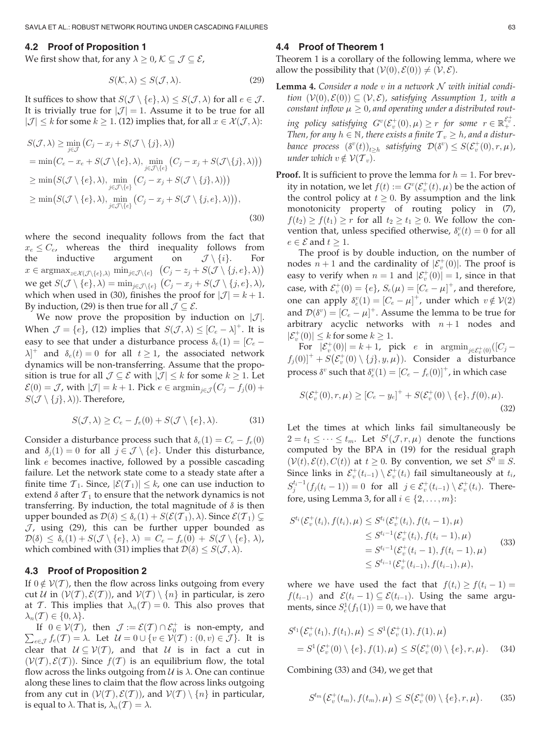#### 4.2 Proof of Proposition 1

We first show that, for any  $\lambda \geq 0$ ,  $\mathcal{K} \subseteq \mathcal{J} \subseteq \mathcal{E}$ ,

$$
S(\mathcal{K}, \lambda) \le S(\mathcal{J}, \lambda). \tag{29}
$$

It suffices to show that  $S(\mathcal{J} \setminus \{e\}, \lambda) \leq S(\mathcal{J}, \lambda)$  for all  $e \in \mathcal{J}$ .<br>It is trivially true for  $|\mathcal{J}| = 1$ . Assume it to be true for all It is trivially true for  $|\mathcal{J}| = 1$ . Assume it to be true for all  $|\mathcal{J}| \leq k$  for some  $k \geq 1$ . (12) implies that, for all  $x \in \mathcal{X}(\mathcal{J}, \lambda)$ :

$$
S(\mathcal{J}, \lambda) \ge \min_{j \in \mathcal{J}} \left( C_j - x_j + S(\mathcal{J} \setminus \{j\}, \lambda) \right)
$$
  
=  $\min(C_e - x_e + S(\mathcal{J} \setminus \{e\}, \lambda), \min_{j \in \mathcal{J} \setminus \{e\}} \left( C_j - x_j + S(\mathcal{J} \setminus \{j\}, \lambda) \right))$   
 $\ge \min(S(\mathcal{J} \setminus \{e\}, \lambda), \min_{j \in \mathcal{J} \setminus \{e\}} \left( C_j - x_j + S(\mathcal{J} \setminus \{j\}, \lambda) \right))$   
 $\ge \min(S(\mathcal{J} \setminus \{e\}, \lambda), \min_{j \in \mathcal{J} \setminus \{e\}} \left( C_j - x_j + S(\mathcal{J} \setminus \{j,e\}, \lambda) \right)),$   
(30)

where the second inequality follows from the fact that  $x_e \leq C_e$ , whereas the third inequality follows from the inductive argument on  $\mathcal{J}\setminus\{i\}$ . For the inductive argument on  $\mathcal{J}\setminus\{i\}$ . For  $x \in \text{argmax}_{z \in \mathcal{X}(\mathcal{J} \setminus \{e\}, \lambda)} \min_{j \in \mathcal{J} \setminus \{e\}} (C_j - z_j + S(\mathcal{J} \setminus \{j, e\}, \lambda))$ we get  $S(\mathcal{J} \setminus \{e\}, \lambda) = \min_{j \in \mathcal{J} \setminus \{e\}} (C_j - x_j + S(\mathcal{J} \setminus \{j, e\}, \lambda))$ <br>which whon used in (30) finishes the proof for  $|\mathcal{J}| = k+1$ which when used in (30), finishes the proof for  $|\mathcal{J}| = k + 1$ . By induction, (29) is then true for all  $\mathcal{J} \subset \mathcal{E}$ .

We now prove the proposition by induction on  $|\mathcal{J}|$ . When  $\mathcal{J} = \{e\}$ , (12) implies that  $S(\mathcal{J}, \lambda) \leq [C_e - \lambda]^+$ . It is easy to see that under a disturbance process  $\delta_e(1) = [C_e \lambda$ <sup>+</sup> and  $\delta_e(t) = 0$  for all  $t \ge 1$ , the associated network dynamics will be non-transferring. Assume that the propo dynamics will be non-transferring. Assume that the proposition is true for all  $\mathcal{J} \subseteq \mathcal{E}$  with  $|\mathcal{J}| \leq k$  for some  $k \geq 1$ . Let  $\mathcal{E}(0) = \mathcal{J}$ , with  $|\mathcal{J}| = k + 1$ . Pick  $e \in \operatorname{argmin}_{j \in \mathcal{J}} (C_j - f_j(0) + S(\mathcal{J} \setminus \{j\}, 1)))$ . Therefore  $S(\mathcal{J}\setminus\{j\},\lambda))$ . Therefore,

$$
S(\mathcal{J}, \lambda) \ge C_e - f_e(0) + S(\mathcal{J} \setminus \{e\}, \lambda).
$$
 (31)

Consider a disturbance process such that  $\delta_e(1) = C_e - f_e(0)$ and  $\delta_i(1) = 0$  for all  $j \in \mathcal{J} \setminus \{e\}$ . Under this disturbance, link e becomes inactive, followed by a possible cascading failure. Let the network state come to a steady state after a finite time  $\mathcal{T}_1$ . Since,  $|\mathcal{E}(\mathcal{T}_1)| \leq k$ , one can use induction to extend  $\delta$  after  $\mathcal{T}_1$  to ensure that the network dynamics is not transferring. By induction, the total magnitude of  $\delta$  is then upper bounded as  $\mathcal{D}(\delta) \leq \delta_e(1) + S(\mathcal{E}(\mathcal{T}_1), \lambda)$ . Since  $\mathcal{E}(\mathcal{T}_1) \subsetneq$ <br>  $\mathcal{T}_1$  using (29) this can be further upper bounded as  $J$ , using (29), this can be further upper bounded as  $\mathcal{D}(\delta) \leq \tilde{\delta}_e(1) + S(\mathcal{J} \setminus \{e\}, \lambda) = C_e - f_e(0) + S(\mathcal{J} \setminus \{e\}, \lambda),$ <br>which combined with (31) implies that  $\mathcal{D}(\delta) < S(\mathcal{J}, \lambda)$ . which combined with (31) implies that  $\mathcal{D}(\delta) \leq S(\mathcal{J}, \lambda)$ .

#### 4.3 Proof of Proposition 2

If  $0 \notin V(\mathcal{T})$ , then the flow across links outgoing from every cut *U* in  $(V(T), \mathcal{E}(T))$ , and  $V(T) \setminus \{n\}$  in particular, is zero at *T*. This implies that  $\lambda_n(T) = 0$ . This also proves that  $\lambda(T) \in \{0, \lambda\}$  $\lambda_n(\mathcal{T}) \in \{0, \lambda\}.$ <br>If  $0 \in \mathcal{V}(\mathcal{T})$ 

If  $0 \in \mathcal{V}(\mathcal{T})$ , then  $\mathcal{J} := \mathcal{E}(\mathcal{T}) \cap \mathcal{E}_0^+$  is non-empty, and  $f(\mathcal{T}) = \sum_{v \in \mathcal{U}} f(v, v) = \sum_{v \in \mathcal{U}} f(v, v) = \sum_{v \in \mathcal{U}} f(v, v)$  $\sum_{e \in \mathcal{J}} f_e(\mathcal{T}) = \lambda$ . Let  $\mathcal{U} = 0 \cup \{v \in \mathcal{V}(\mathcal{T}) : (0, v) \in \mathcal{J}\}$ . It is clear that  $U \subseteq V(T)$ , and that U is in fact a cut in  $(V(T), \mathcal{E}(T))$ . Since  $f(T)$  is an equilibrium flow, the total flow across the links outgoing from  $\mathcal U$  is  $\lambda$ . One can continue<br>along these lines to claim that the flow across links outgoing along these lines to claim that the flow across links outgoing from any cut in  $(V(T), \mathcal{E}(T))$ , and  $V(T) \setminus \{n\}$  in particular, is equal to  $\lambda$ . That is,  $\lambda_n(\mathcal{T}) = \lambda$ .

## 4.4 Proof of Theorem 1

Theorem 1 is a corollary of the following lemma, where we allow the possibility that  $(V(0), \mathcal{E}(0)) \neq (V, \mathcal{E})$ .

- **Lemma 4.** Consider a node  $v$  in a network  $N$  with initial condition  $(V(0), \mathcal{E}(0)) \subseteq (V, \mathcal{E})$ , satisfying Assumption 1, with a constant inflow  $\mu \geq 0$ , and operating under a distributed routing policy satisfying  $G^v(\mathcal{E}_v^+(0), \mu) \geq r$  for some  $r \in \mathbb{R}_+^{\mathcal{E}_v^+}$ .<br>Then for any  $b \in \mathbb{N}$  there exists a finite  $\mathcal{T} > b$  and a distur-Then, for any  $h \in \mathbb{N}$ , there exists a finite  $\mathcal{T}_v \geq h$ , and a disturbance process  $(\delta^v(t))_{t \geq h}$  satisfying  $\mathcal{D}(\delta^v) \leq S(\mathcal{E}_v^+(0), r, \mu)$ ,<br>under which a d  $\mathcal{Y}(\mathcal{T})$ under which  $v \notin V(\mathcal{T}_v)$ .
- **Proof.** It is sufficient to prove the lemma for  $h = 1$ . For brevity in notation, we let  $f(t) := G^v(\mathcal{E}_v^+(t), \mu)$  be the action of<br>the control policy at  $t > 0$ . By assumption and the link the control policy at  $t > 0$ . By assumption and the link monotonicity property of routing policy in (7),  $f(t_2) > f(t_1) > r$  for all  $t_2 > t_1 > 0$ . We follow the convention that, unless specified otherwise,  $\delta_e^v(t) = 0$  for all  $e \in \mathcal{E}$  and  $t > 1$  $e \in \mathcal{E}$  and  $t > 1$ .

The proof is by double induction, on the number of nodes  $n+1$  and the cardinality of  $|\mathcal{E}_v^+(0)|$ . The proof is easy to verify when  $n = 1$  and  $|\mathcal{E}_v^+(0)| = 1$ , since in that case, with  $\mathcal{E}_v^+(0) = \{e\}$ ,  $S_e(\mu) = [C_e - \mu]^+$ , and therefore, one can apply  $\delta_e^v(1) = [C_e - \mu]^+,$  under which  $v \notin V(2)$ <br>and  $\mathcal{D}(s^v) = [C_e - \mu]^+,$  Agguing the lamma to be two for and  $\mathcal{D}(\delta^v) = [C_e - \mu]^+$ . Assume the lemma to be true for arbitrary acyclic networks, with  $n+1$  nodes and arbitrary acyclic networks with  $n+1$  nodes and  $|\mathcal{E}_v^+(0)| \leq k$  for some  $k \geq 1$ .<br>For  $|\mathcal{E}_v^+(0)| = k+1$  in

For  $|\mathcal{E}_v^+(0)| = k+1$ , pick e in argmin<sub>j $\epsilon \mathcal{E}_v^+(0)$ </sub>  $[C_j$  $f_j(0)^+ + S(\mathcal{E}_v^+(0) \setminus \{j\}, y, \mu)$ ). Consider a disturbance process  $\delta^v$  such that  $\delta_e^v(1) = [C_e - f_e(0)]^+$ , in which case

$$
S(\mathcal{E}_v^+(0), r, \mu) \ge [C_e - y_e]^+ + S(\mathcal{E}_v^+(0) \setminus \{e\}, f(0), \mu).
$$
\n(32)

Let the times at which links fail simultaneously be  $2 = t_1 \leq \cdots \leq t_m$ . Let  $S^t(\mathcal{J}, r, \mu)$  denote the functions computed by the RPA in (19) for the residual graph computed by the BPA in (19) for the residual graph  $(V(t), \mathcal{E}(t), C(t))$  at  $t \geq 0$ . By convention, we set  $S^0 \equiv S$ . Since links in  $\mathcal{E}_v^+(t_{i-1}) \setminus \mathcal{E}_v^+(t_i)$  fail simultaneously at  $t_i$ ,<br> $\mathcal{E}_v^{t_i-1}(\mathcal{E}(t_{i-1}))$ ,  $\mathcal{E}_v^{t_i-1}(\mathcal{E}(t_{i-1}))$ ,  $\mathcal{E}_v^{t_i-1}(\mathcal{E}(t_{i-1}))$ ,  $\mathcal{E}_v^{t_i-1}(\mathcal{E}(t_{i-1}))$ ,  $\mathcal{E}_v^{t_i-1}(\mathcal{E}(t_{i-1}))$  $S_j^{t_i-1}(f_j(t_i-1)) = 0$  for all  $j \in \mathcal{E}_v^+(t_{i-1}) \setminus \mathcal{E}_v^+(t_i)$ . There-<br>fore using I amma 2 for all  $j \in \{2, \ldots, m\}$ . fore, using Lemma 3, for all  $i \in \{2, \ldots, m\}$ :

$$
S^{t_i}(\mathcal{E}_v^+(t_i), f(t_i), \mu) \leq S^{t_i}(\mathcal{E}_v^+(t_i), f(t_i - 1), \mu)
$$
  
\n
$$
\leq S^{t_i - 1}(\mathcal{E}_v^+(t_i), f(t_i - 1), \mu)
$$
  
\n
$$
= S^{t_i - 1}(\mathcal{E}_v^+(t_i - 1), f(t_i - 1), \mu)
$$
  
\n
$$
\leq S^{t_{i-1}}(\mathcal{E}_v^+(t_{i-1}), f(t_{i-1}), \mu),
$$
\n(33)

where we have used the fact that  $f(t_i) \geq f(t_i - 1) =$  $f(t_{i-1})$  and  $\mathcal{E}(t_i - 1) \subseteq \mathcal{E}(t_{i-1})$ . Using the same arguments, since  $S_e^1(f_1(1)) = 0$ , we have that

$$
S^{t_1}(\mathcal{E}_v^+(t_1), f(t_1), \mu) \leq S^1(\mathcal{E}_v^+(1), f(1), \mu)
$$
  
=  $S^1(\mathcal{E}_v^+(0) \setminus \{e\}, f(1), \mu) \leq S(\mathcal{E}_v^+(0) \setminus \{e\}, r, \mu).$  (34)

Combining (33) and (34), we get that

$$
S^{t_m}(\mathcal{E}_v^+(t_m), f(t_m), \mu) \le S(\mathcal{E}_v^+(0) \setminus \{e\}, r, \mu).
$$
 (35)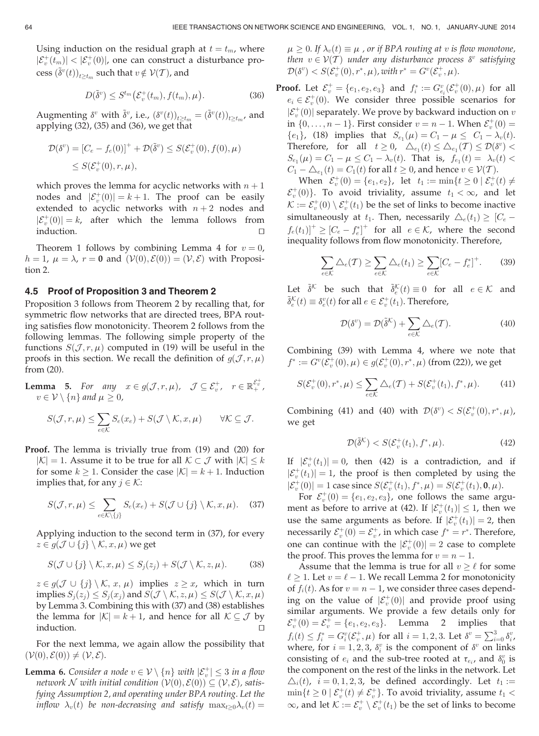Using induction on the residual graph at  $t = t_m$ , where  $\begin{bmatrix} |\mathcal{C}_v(v_m)| \leq |\mathcal{C}_v(0)|, \text{ one can construct } \ \text{cess} \left(\tilde{\delta}^v(t)\right)_{t \geq t_m} \text{ such that } v \notin \mathcal{V}(\mathcal{T}), \text{ and } \end{bmatrix}$  $|v_v^+(t_m)| < |\mathcal{E}_v^+(0)|$ , one can construct a disturbance pro-<br> $|v_{\infty}(\tilde{x}^v(t))|$  and  $|v_{\infty}(\tilde{x}^v(t))|$  and

$$
D(\tilde{\delta}^v) \le S^{t_m}(\mathcal{E}_v^+(t_m), f(t_m), \mu). \tag{36}
$$

Augmenting  $\delta^v$  with  $\tilde{\delta}^v$ , i.e.,  $(\delta^v(t))_{t\geq t_m} = (\tilde{\delta}^v(t))_{t\geq t_m}$ , and applying (32) (35) and (36) we get that applying  $(32)$ ,  $(35)$  and  $(36)$ , we get that

$$
\mathcal{D}(\delta^v) = [C_e - f_e(0)]^+ + \mathcal{D}(\tilde{\delta}^v) \le S(\mathcal{E}_v^+(0), f(0), \mu)
$$
  

$$
\le S(\mathcal{E}_v^+(0), r, \mu),
$$

which proves the lemma for acyclic networks with  $n + 1$ nodes and  $|\mathcal{E}_v^+(0)| = k+1$ . The proof can be easily extended to acyclic networks with  $n+2$  nodes and extended to acyclic networks with  $n+2$  nodes and induction.  $|\mathcal{E}_v^+(0)| = k$ , after which the lemma follows from induction.  $\Box$ induction.

Theorem 1 follows by combining Lemma 4 for  $v = 0$ ,  $h = 1$ ,  $\mu = \lambda$ ,  $r = 0$  and  $(\mathcal{V}(0), \mathcal{E}(0)) = (\mathcal{V}, \mathcal{E})$  with Proposition ? tion 2.

#### 4.5 Proof of Proposition 3 and Theorem 2

Proposition 3 follows from Theorem 2 by recalling that, for symmetric flow networks that are directed trees, BPA routing satisfies flow monotonicity. Theorem 2 follows from the following lemmas. The following simple property of the functions  $S(\mathcal{J}, r, \mu)$  computed in (19) will be useful in the proofs in this section. We recall the definition of  $g(\mathcal{J}, r, \mu)$ from (20).

**Lemma** 5. For any  $x \in g(\mathcal{J}, r, \mu)$ ,  $\mathcal{J} \subseteq \mathcal{E}_v^+$ ,  $r \in \mathbb{R}_+^{\mathcal{E}_v^-}$ ,  $v \in \mathbb{R}^{\mathcal{E}_v^-}$  $v \in \mathcal{V} \setminus \{n\}$  and  $\mu \geq 0$ ,

$$
S(\mathcal{J}, r, \mu) \leq \sum_{e \in \mathcal{K}} S_e(x_e) + S(\mathcal{J} \setminus \mathcal{K}, x, \mu) \qquad \forall \mathcal{K} \subseteq \mathcal{J}.
$$

Proof. The lemma is trivially true from (19) and (20) for  $|\mathcal{K}| = 1$ . Assume it to be true for all  $\mathcal{K} \subset \mathcal{J}$  with  $|\mathcal{K}| \leq k$ for some  $k \geq 1$ . Consider the case  $|\mathcal{K}| = k + 1$ . Induction implies that, for any  $j \in \mathcal{K}$ :

$$
S(\mathcal{J}, r, \mu) \le \sum_{e \in \mathcal{K} \setminus \{j\}} S_e(x_e) + S(\mathcal{J} \cup \{j\} \setminus \mathcal{K}, x, \mu). \quad (37)
$$

Applying induction to the second term in (37), for every  $z \in g(\mathcal{J} \cup \{j\} \setminus \mathcal{K}, x, \mu)$  we get

$$
S(\mathcal{J} \cup \{j\} \setminus \mathcal{K}, x, \mu) \le S_j(z_j) + S(\mathcal{J} \setminus \mathcal{K}, z, \mu). \tag{38}
$$

 $z \in g(\mathcal{J} \cup \{j\} \setminus \mathcal{K}, x, \mu)$  implies  $z \geq x$ , which in turn implies  $S_j(z_j) \leq S_j(x_j)$  and  $S(\mathcal{J} \setminus \mathcal{K}, z, \mu) \leq S(\mathcal{J} \setminus \mathcal{K}, x, \mu)$ by Lemma 3. Combining this with (37) and (38) establishes the lemma for  $|K| = k + 1$ , and hence for all  $K \subseteq \mathcal{J}$  by induction.  $\Box$ induction.  $\Box$ 

For the next lemma, we again allow the possibility that  $(\mathcal{V}(0), \mathcal{E}(0)) \neq (\mathcal{V}, \mathcal{E}).$ 

**Lemma 6.** Consider a node  $v \in V \setminus \{n\}$  with  $|\mathcal{E}_v^+| \leq 3$  in a flow<br>network N with initial condition  $(v(0), \mathcal{E}(0)) \subset (v, \mathcal{E})$  satisnetwork N with initial condition  $(V(0), \mathcal{E}(0)) \subseteq (V, \mathcal{E})$ , satisfying Assumption 2, and operating under BPA routing. Let the inflow  $\lambda_v(t)$  be non-decreasing and satisfy  $\max_{t\geq 0}\lambda_v(t)=$ 

 $\mu \geq 0$ . If  $\lambda_v(t) \equiv \mu$  , or if BPA routing at v is flow monotone,<br>then  $v \in \mathcal{V}(\mathcal{T})$  under any disturbance process  $\delta^v$  satisfying then  $v \in V(\mathcal{T})$  under any disturbance process  $\delta^v$  satisfying  $\mathcal{D}(\delta^v) < S(\mathcal{E}_v^+(0), r^*, \mu)$ , with  $r^* = G^v(\mathcal{E}_v^+, \mu)$ .

**Proof.** Let  $\mathcal{E}_v^+ = \{e_1, e_2, e_3\}$  and  $f_i^* := G_{e_i}^v(\mathcal{E}_v^+(0), \mu)$  for all  $e_i \in \mathcal{E}_v^+(0)$ . We consider three possible scenarios for  $\frac{C_v}{\sqrt{2}}$  $e_i \in \mathcal{E}_v^+(0)$ . We consider three possible scenarios for  $\mathcal{E}_v^{(+)}(0)$  soperately  $M_0$  prove by backward induction on  $v$  $\frac{1}{2}$ in  $|\mathcal{E}_v^+(0)|$  separately. We prove by backward induction on v in  $\{0,\ldots,n-1\}$ . First consider  $v=n-1$ . When  $\mathcal{E}_v^+(0) =$ <br>Lect (18) implies that  $S_v(u) - C_v = u \le C_v - \lambda_v(t)$  $\{e_1\}$ , (18) implies that  $S_{e_1}(\mu) = C_1 - \mu \leq C_1 - \lambda_v(t)$ .<br>Therefore for all  $t > 0 \land (t) < \Lambda$  ( $\tau$ ) <  $\mathcal{D}(\delta^v)$  < Therefore, for all  $t \geq 0$ ,  $\Delta_{e_1}(t) \leq \Delta_{e_1}(T) \leq \mathcal{D}(\delta^v) <$ <br>S  $(u) - C_1 - u \leq C_2 - \lambda(t)$  That is  $f(t) - \lambda(t) <$  $S_{e_1}(\mu) = C_1 - \mu \le C_1 - \lambda_v(t)$ . That is,  $f_{e_1}(t) = \lambda_v(t) < C_1 - \wedge$  (t)  $C_2 - \wedge$  (t) for all  $t > 0$  and hence  $v \in \mathcal{V}(\mathcal{T})$  $C_1 - \Delta_{e_1}(t) = C_1(t)$  for all  $t \geq 0$ , and hence  $v \in V(\mathcal{T})$ .

When  $\mathcal{E}_v^+(0) = \{e_1, e_2\}$ , let  $t_1 := \min\{t \geq 0 \mid \mathcal{E}_v^+(t) \neq 0\}$  $\frac{c_v}{r}$  $\mathcal{E}_n^+(0)$ . To avoid triviality, assume  $t_1 < \infty$ , and let  $\mathcal{K} := \mathcal{E}_v^+(0) \setminus \mathcal{E}_v^+(t_1)$  be the set of links to become inactive<br>cimultaneously at t. Then, necessarily  $\wedge$  (t)  $\searrow$  [C] simultaneously at  $t_1$ . Then, necessarily  $\Delta_e(t_1) \geq [C_e [f_e(t_1)]^+ \geq [C_e - f_e^*]^+$  for all  $e \in \mathcal{K}$ , where the second<br>inequality follows from flow monotonicity. Therefore  $e^{i\epsilon_1}$   $\leq$   $\sum_{e}$   $e^{i\epsilon_1}$  for an  $e \leq \kappa$ , where the second-

$$
\sum_{e \in \mathcal{K}} \Delta_e(\mathcal{T}) \ge \sum_{e \in \mathcal{K}} \Delta_e(t_1) \ge \sum_{e \in \mathcal{K}} [C_e - f_e^*]^+.
$$
 (39)

Let  $\tilde{\delta}^{\mathcal{K}}$  be such that  $\tilde{\delta}^{\mathcal{K}}_e(t) \equiv 0$  for all  $e \in \mathcal{K}$  and  $\tilde{\delta}^{\mathcal{K}}_e(t) = s^v(t)$  for all  $e \in \mathcal{K}^+$ . Therefore  $\tilde{\delta}_e^{\mathcal{K}}(t) \equiv \delta_e^v(t)$  for all  $e \in \mathcal{E}_v^+(t_1)$ . Therefore,

$$
\mathcal{D}(\delta^v) = \mathcal{D}(\tilde{\delta}^{\mathcal{K}}) + \sum_{e \in \mathcal{K}} \Delta_e(\mathcal{T}). \tag{40}
$$

Combining (39) with Lemma 4, where we note that  $f^* := G^v(\mathcal{E}_v^+(0), \mu) \in g(\mathcal{E}_v^+(0), r^*, \mu)$  (from (22)), we get

$$
S(\mathcal{E}_v^+(0), r^*, \mu) \le \sum_{e \in \mathcal{K}} \Delta_e(\mathcal{T}) + S(\mathcal{E}_v^+(t_1), f^*, \mu). \tag{41}
$$

Combining (41) and (40) with  $\mathcal{D}(\delta^v) < S(\mathcal{E}_v^+(0), r^*, \mu)$ , we get we get

$$
\mathcal{D}(\tilde{\delta}^{\mathcal{K}}) < S(\mathcal{E}_v^+(t_1), f^*, \mu). \tag{42}
$$

If  $|\mathcal{E}_v^+(t_1)| = 0$ , then (42) is a contradiction, and if  $|\mathcal{E}_v^+(t_1)| = 1$ , the proof is then completed by using the  $|\mathcal{E}_v^+(t_1)| = 1$  associng  $S(\mathcal{E}_v^+(t_1), \mathcal{E}_v^*(t_1), \mathcal{E}_v^*(t_1), \mathbf{0}, \mu)$  $|\mathcal{E}_v^+(0)| = 1$  case since  $S(\mathcal{E}_v^+(t_1), f^*, \mu) = S(\mathcal{E}_v^+(t_1), \mathbf{0}, \mu)$ .<br>For  $\mathcal{S}^+(0) = I_{\varepsilon_v, \varepsilon_v, \varepsilon_v}$  one follows the same are

For  $\mathcal{E}_v^+(0) = \{e_1, e_2, e_3\}$ , one follows the same argument as before to arrive at (42). If  $|\mathcal{E}_v^+(t_1)| \leq 1$ , then we<br>use the same arguments as before  $F(|\mathcal{E}_v^+(t_1)| = 2$ , then use the same arguments as before. If  $|\mathcal{E}_v^+(t_1)| = 2$ , then<br>necessarily  $\mathcal{E}_v^+(0) = \mathcal{E}_v^+$  in which asse  $f^* = x^*$ . Therefore, necessarily  $\mathcal{E}_v^+(0) = \mathcal{E}_v^+$ , in which case  $f^* = r^*$ . Therefore, one can continue with the  $|\mathcal{E}_v^+(0)| = 2$  case to complete<br>the proof. This proves the lemma for  $v = n - 1$ the proof. This proves the lemma for  $v = n - 1$ .

Assume that the lemma is true for all  $v > \ell$  for some  $\ell \geq 1$ . Let  $v = \ell - 1$ . We recall Lemma 2 for monotonicity of  $f_i(t)$ . As for  $v = n - 1$ , we consider three cases depending on the value of  $|\mathcal{E}_v^+(0)|$  and provide proof using<br>similar arguments. We provide a few details only for similar arguments. We provide a few details only for  $\frac{\varepsilon_v}{\frac{\varepsilon}{\varepsilon}}$  $v_v^+(0) = \mathcal{E}_v^+ = \{e_1, e_2, e_3\}.$  Lemma 2 implies that  $f_i(t) \leq f_i^* = G_i^v(\mathcal{E}_v^+, \mu)$  for all  $i = 1, 2, 3$ . Let  $\delta^v = \sum_{i=0}^3 \delta_i^v$ <br>where for  $i = 1, 2, 3, \delta^v$  is the component of  $\delta^v$  on links  $J_i(t) \leq J_i = G_i^*(\mathcal{E}_v, \mu)$  for all  $i = 1, 2, 3$ . Let  $\delta^v = \sum_{i=0} \delta_i^i$ ,<br>where, for  $i = 1, 2, 3, \delta_i^v$  is the component of  $\delta^v$  on links<br>consisting of  $e_i$  and the sub-tree rooted at  $\tau$  and  $\delta^v$  is consisting of  $e_i$  and the sub-tree rooted at  $\tau_{e_i}$ , and  $\delta_0^v$  is the component on the rest of the links in the network. Let  $\Delta_i(t)$ ,  $i = 0, 1, 2, 3$ , be defined accordingly. Let  $t_1 :=$  $\min\{t \geq 0 \mid \mathcal{E}_v^+(t) \neq \mathcal{E}_v^+\}.$  To avoid triviality, assume  $t_1 <$  $\infty$ , and let  $\mathcal{K} := \mathcal{E}_v^+ \setminus \mathcal{E}_v^+(t_1)$  be the set of links to become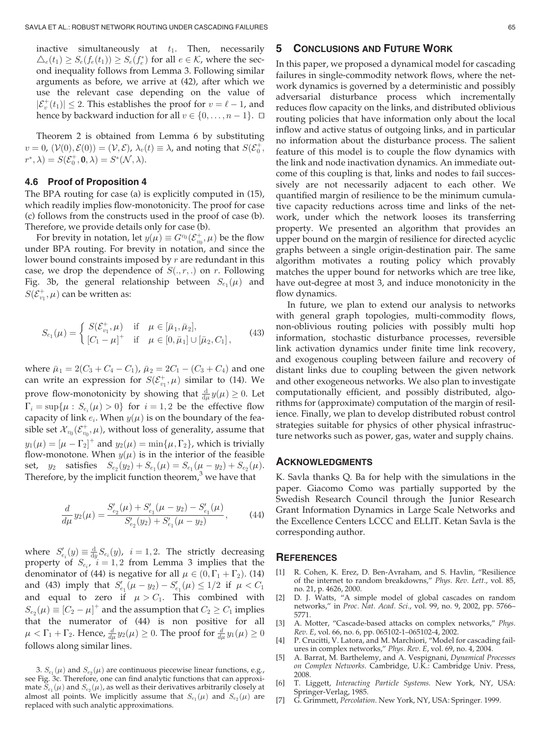inactive simultaneously at  $t_1$ . Then, necessarily  $\Delta_e(t_1) \geq S_e(f_e(t_1)) \geq S_e(f_e^*)$  for all  $e \in \mathcal{K}$ , where the second inequality follows from Lemma 3. Following similar ond inequality follows from Lemma 3. Following similar arguments as before, we arrive at (42), after which we use the relevant case depending on the value of  $\frac{1}{b}$ per  $|\mathcal{E}_v^+(t_1)| \leq 2$ . This establishes the proof for  $v = \ell - 1$ , and hence by backward induction for all  $v \in \{0, \ldots, n - 1\}$ .  $\Box$ 

Theorem 2 is obtained from Lemma 6 by substituting  $v = 0$ ,  $(\mathcal{V}(0), \mathcal{E}(0)) = (\mathcal{V}, \mathcal{E})$ ,  $\lambda_v(t) \equiv \lambda$ , and noting that  $S(\mathcal{E}_0^+, \mathcal{E}_0^+) = S(\mathcal{E}_0^+, \mathcal{E}_0^+) = S^*(\mathcal{N}, \mathcal{E}_0^+)$  $r^*,\lambda) = S(\mathcal{E}_0^+, \mathbf{0}, \lambda) = S^*(\mathcal{N}, \lambda).$ 

### 4.6 Proof of Proposition 4

The BPA routing for case (a) is explicitly computed in (15), which readily implies flow-monotonicity. The proof for case (c) follows from the constructs used in the proof of case (b). Therefore, we provide details only for case (b).

For brevity in notation, let  $y(\mu) \equiv G^{v_0}(\mathcal{E}_{v_0}^+, \mu)$  be the flow<br>der BPA routing. For brevity in notation, and since the under BPA routing. For brevity in notation, and since the lower bound constraints imposed by  $r$  are redundant in this case, we drop the dependence of  $S(.,r,.)$  on r. Following Fig. 3b, the general relationship between  $S_{e_1}(\mu)$  and  $S(\mathcal{E}_{v_1}^+, \mu)$  can be written as:

$$
S_{e_1}(\mu) = \begin{cases} S(\mathcal{E}_{v_1}^+, \mu) & \text{if } \mu \in [\bar{\mu}_1, \bar{\mu}_2], \\ [C_1 - \mu]^+ & \text{if } \mu \in [0, \bar{\mu}_1] \cup [\bar{\mu}_2, C_1], \end{cases}
$$
(43)

where  $\bar{\mu}_1 = 2(C_3 + C_4 - C_1)$ ,  $\bar{\mu}_2 = 2C_1 - (C_3 + C_4)$  and one<br>can write an expression for  $S(S^+ \mu)$  similar to (14). We can write an expression for  $S(\mathcal{E}_{v_1}^+, \mu)$  similar to (14). We prove flow-monotonicity by showing that  $\frac{d}{d\mu} y(\mu) \ge 0$ . Let  $\Gamma_i = \sup\{\mu : S_{e_i}(\mu) > 0\}$  for  $i = 1, 2$  be the effective flow capacity of link  $e_i$ . When  $y(\mu)$  is on the boundary of the feasible set  $\mathcal{X}_{v_0}(\mathcal{E}_{v_0}^+, \mu)$ , without loss of generality, assume that  $y_1(\mu) = [\mu - \Gamma_2]^+$  and  $y_2(\mu) = \min{\{\mu, \Gamma_2\}}$ , which is trivially flow-monotone. When  $y(\mu)$  is in the interior of the feasible flow-monotone. When  $y(\mu)$  is in the interior of the feasible set,  $y_2$  satisfies  $S_{e_2}(y_2) + S_{e_1}(\mu) = S_{e_1}(\mu - y_2) + S_{e_2}(\mu)$ . Therefore, by the implicit function theorem, $3$  we have that

$$
\frac{d}{d\mu}y_2(\mu) = \frac{S'_{e_2}(\mu) + S'_{e_1}(\mu - y_2) - S'_{e_1}(\mu)}{S'_{e_2}(y_2) + S'_{e_1}(\mu - y_2)},\tag{44}
$$

where  $S'_{e_i}(y) \equiv \frac{d}{dy} S_{e_i}(y)$ ,  $i = 1, 2$ . The strictly decreasing<br>property of  $S'_{i} = 1, 2$  from Lemma 3 implies that the property of  $S_{e_i}$ ,  $i = 1, 2$  from Lemma 3 implies that the denominator of (44) is negative for all  $\mu \in (0, \Gamma_1 + \Gamma_2)$ . (14) and (43) imply that  $S'_{e_1}(\mu - y_2) - S'_{e_1}(\mu) \le 1/2$  if  $\mu < C_1$ and equal to zero if  $\mu > C_1$ . This combined with  $S_{e_2}(\mu) \equiv [C_2 - \mu]^+$  and the assumption that  $C_2 \ge C_1$  implies<br>that the numerator of (44) is non-positive for all that the numerator of (44) is non positive for all  $\mu < \Gamma_1 + \Gamma_2$ . Hence,  $\frac{d}{d\mu} y_2(\mu) \ge 0$ . The proof for  $\frac{d}{d\mu} y_1(\mu) \ge 0$ follows along similar lines.

# 5 CONCLUSIONS AND FUTURE WORK

In this paper, we proposed a dynamical model for cascading failures in single-commodity network flows, where the network dynamics is governed by a deterministic and possibly adversarial disturbance process which incrementally reduces flow capacity on the links, and distributed oblivious routing policies that have information only about the local inflow and active status of outgoing links, and in particular no information about the disturbance process. The salient feature of this model is to couple the flow dynamics with the link and node inactivation dynamics. An immediate outcome of this coupling is that, links and nodes to fail successively are not necessarily adjacent to each other. We quantified margin of resilience to be the minimum cumulative capacity reductions across time and links of the network, under which the network looses its transferring property. We presented an algorithm that provides an upper bound on the margin of resilience for directed acyclic graphs between a single origin-destination pair. The same algorithm motivates a routing policy which provably matches the upper bound for networks which are tree like, have out-degree at most 3, and induce monotonicity in the flow dynamics.

In future, we plan to extend our analysis to networks with general graph topologies, multi-commodity flows, non-oblivious routing policies with possibly multi hop information, stochastic disturbance processes, reversible link activation dynamics under finite time link recovery, and exogenous coupling between failure and recovery of distant links due to coupling between the given network and other exogeneous networks. We also plan to investigate computationally efficient, and possibly distributed, algorithms for (approximate) computation of the margin of resilience. Finally, we plan to develop distributed robust control strategies suitable for physics of other physical infrastructure networks such as power, gas, water and supply chains.

## ACKNOWLEDGMENTS

K. Savla thanks Q. Ba for help with the simulations in the paper. Giacomo Como was partially supported by the Swedish Research Council through the Junior Research Grant Information Dynamics in Large Scale Networks and the Excellence Centers LCCC and ELLIT. Ketan Savla is the corresponding author.

## **REFERENCES**

- [1] R. Cohen, K. Erez, D. Ben-Avraham, and S. Havlin, "Resilience of the internet to random breakdowns," Phys. Rev. Lett., vol. 85, no. 21, p. 4626, 2000.
- [2] D. J. Watts, "A simple model of global cascades on random networks," in Proc. Nat. Acad. Sci., vol. 99, no. 9, 2002, pp. 5766– 5771.
- [3] A. Motter, "Cascade-based attacks on complex networks," Phys. Rev. E, vol. 66, no. 6, pp. 065102-1–065102-4, 2002.
- [4] P. Crucitti, V. Latora, and M. Marchiori, "Model for cascading failures in complex networks," Phys. Rev. E, vol. 69, no. 4, 2004.
- [5] A. Barrat, M. Barthelemy, and A. Vespignani, Dynamical Processes on Complex Networks. Cambridge, U.K.: Cambridge Univ. Press, 2008.
- [6] T. Liggett, Interacting Particle Systems. New York, NY, USA: Springer-Verlag, 1985.
- [7] G. Grimmett, Percolation. New York, NY, USA: Springer. 1999.

<sup>3.</sup>  $S_{e_1}(\mu)$  and  $S_{e_2}(\mu)$  are continuous piecewise linear functions, e.g., see Fig. 3c. Therefore, one can find analytic functions that can approximate  $\bar{S}_{e_1}(\mu)$  and  $S_{e_2}(\mu)$ , as well as their derivatives arbitrarily closely at almost all points. We implicitly assume that  $S_{e_1}(\mu)$  and  $S_{e_2}(\mu)$  are replaced with such analytic approximations.